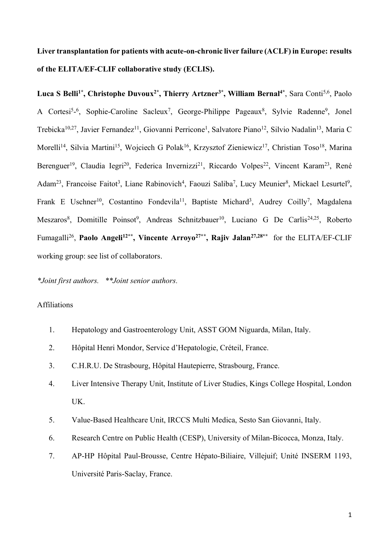**Liver transplantation for patients with acute-on-chronic liver failure (ACLF) in Europe: results of the ELITA/EF-CLIF collaborative study (ECLIS).**

**Luca S Belli1\*, Christophe Duvoux2\*, Thierry Artzner3\*, William Bernal4\***, Sara Conti5,6, Paolo A Cortesi<sup>5</sup>-<sup>6</sup>, Sophie-Caroline Sacleux<sup>7</sup>, George-Philippe Pageaux<sup>8</sup>, Sylvie Radenne<sup>9</sup>, Jonel Trebicka<sup>10,27</sup>, Javier Fernandez<sup>11</sup>, Giovanni Perricone<sup>1</sup>, Salvatore Piano<sup>12</sup>, Silvio Nadalin<sup>13</sup>, Maria C Morelli<sup>14</sup>, Silvia Martini<sup>15</sup>, Wojciech G Polak<sup>16</sup>, Krzysztof Zieniewicz<sup>17</sup>, Christian Toso<sup>18</sup>, Marina Berenguer<sup>19</sup>, Claudia Iegri<sup>20</sup>, Federica Invernizzi<sup>21</sup>, Riccardo Volpes<sup>22</sup>, Vincent Karam<sup>23</sup>, René Adam<sup>23</sup>, Francoise Faitot<sup>3</sup>, Liane Rabinovich<sup>4</sup>, Faouzi Saliba<sup>7</sup>, Lucy Meunier<sup>8</sup>, Mickael Lesurtel<sup>9</sup>, Frank E Uschner<sup>10</sup>, Costantino Fondevila<sup>11</sup>, Baptiste Michard<sup>3</sup>, Audrey Coilly<sup>7</sup>, Magdalena Meszaros<sup>8</sup>, Domitille Poinsot<sup>9</sup>, Andreas Schnitzbauer<sup>10</sup>, Luciano G De Carlis<sup>24,25</sup>, Roberto Fumagalli<sup>26</sup> , **Paolo Angeli12\*\*, Vincente Arroyo27\*\*, Rajiv Jalan27,28\*\*** for the ELITA/EF-CLIF working group: see list of collaborators.

#### *\*Joint first authors. \*\*Joint senior authors.*

### Affiliations

- 1. Hepatology and Gastroenterology Unit, ASST GOM Niguarda, Milan, Italy.
- 2. Hôpital Henri Mondor, Service d'Hepatologie, Créteil, France.
- 3. C.H.R.U. De Strasbourg, Hôpital Hautepierre, Strasbourg, France.
- 4. Liver Intensive Therapy Unit, Institute of Liver Studies, Kings College Hospital, London UK.
- 5. Value-Based Healthcare Unit, IRCCS Multi Medica, Sesto San Giovanni, Italy.
- 6. Research Centre on Public Health (CESP), University of Milan-Bicocca, Monza, Italy.
- 7. AP-HP Hôpital Paul-Brousse, Centre Hépato-Biliaire, Villejuif; Unité INSERM 1193, Université Paris-Saclay, France.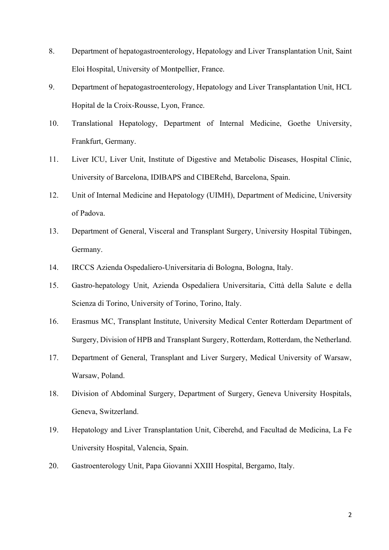- 8. Department of hepatogastroenterology, Hepatology and Liver Transplantation Unit, Saint Eloi Hospital, University of Montpellier, France.
- 9. Department of hepatogastroenterology, Hepatology and Liver Transplantation Unit, HCL Hopital de la Croix-Rousse, Lyon, France.
- 10. Translational Hepatology, Department of Internal Medicine, Goethe University, Frankfurt, Germany.
- 11. Liver ICU, Liver Unit, Institute of Digestive and Metabolic Diseases, Hospital Clinic, University of Barcelona, IDIBAPS and CIBERehd, Barcelona, Spain.
- 12. Unit of Internal Medicine and Hepatology (UIMH), Department of Medicine, University of Padova.
- 13. Department of General, Visceral and Transplant Surgery, University Hospital Tübingen, Germany.
- 14. IRCCS Azienda Ospedaliero-Universitaria di Bologna, Bologna, Italy.
- 15. Gastro-hepatology Unit, Azienda Ospedaliera Universitaria, Città della Salute e della Scienza di Torino, University of Torino, Torino, Italy.
- 16. Erasmus MC, Transplant Institute, University Medical Center Rotterdam Department of Surgery, Division of HPB and Transplant Surgery, Rotterdam, Rotterdam, the Netherland.
- 17. Department of General, Transplant and Liver Surgery, Medical University of Warsaw, Warsaw, Poland.
- 18. Division of Abdominal Surgery, Department of Surgery, Geneva University Hospitals, Geneva, Switzerland.
- 19. Hepatology and Liver Transplantation Unit, Ciberehd, and Facultad de Medicina, La Fe University Hospital, Valencia, Spain.
- 20. Gastroenterology Unit, Papa Giovanni XXIII Hospital, Bergamo, Italy.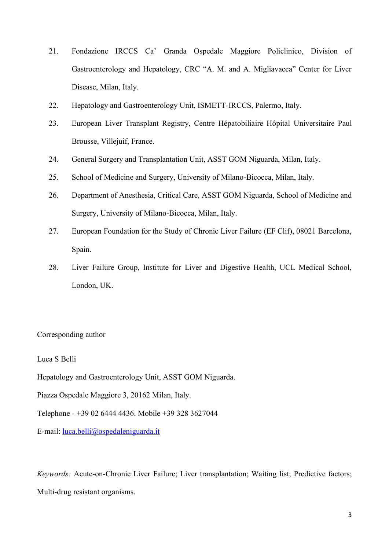- 21. Fondazione IRCCS Ca' Granda Ospedale Maggiore Policlinico, Division of Gastroenterology and Hepatology, CRC "A. M. and A. Migliavacca" Center for Liver Disease, Milan, Italy.
- 22. Hepatology and Gastroenterology Unit, ISMETT-IRCCS, Palermo, Italy.
- 23. European Liver Transplant Registry, Centre Hépatobiliaire Hôpital Universitaire Paul Brousse, Villejuif, France.
- 24. General Surgery and Transplantation Unit, ASST GOM Niguarda, Milan, Italy.
- 25. School of Medicine and Surgery, University of Milano-Bicocca, Milan, Italy.
- 26. Department of Anesthesia, Critical Care, ASST GOM Niguarda, School of Medicine and Surgery, University of Milano-Bicocca, Milan, Italy.
- 27. European Foundation for the Study of Chronic Liver Failure (EF Clif), 08021 Barcelona, Spain.
- 28. Liver Failure Group, Institute for Liver and Digestive Health, UCL Medical School, London, UK.

Corresponding author

Luca S Belli

Hepatology and Gastroenterology Unit, ASST GOM Niguarda.

Piazza Ospedale Maggiore 3, 20162 Milan, Italy.

Telephone - +39 02 6444 4436. Mobile +39 328 3627044

E-mail: [luca.belli@ospedaleniguarda.it](mailto:luca.belli@ospedaleniguarda.it)

*Keywords:* Acute-on-Chronic Liver Failure; Liver transplantation; Waiting list; Predictive factors; Multi-drug resistant organisms.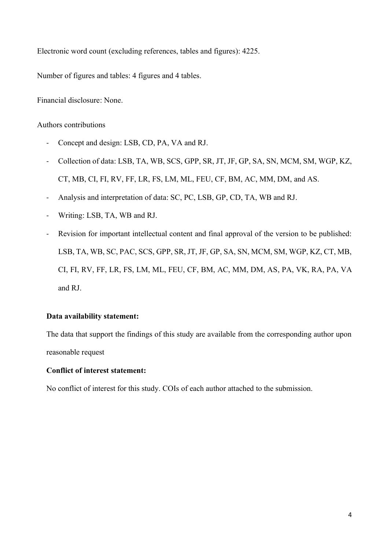Electronic word count (excluding references, tables and figures): 4225.

Number of figures and tables: 4 figures and 4 tables.

Financial disclosure: None.

### Authors contributions

- Concept and design: LSB, CD, PA, VA and RJ.
- Collection of data: LSB, TA, WB, SCS, GPP, SR, JT, JF, GP, SA, SN, MCM, SM, WGP, KZ, CT, MB, CI, FI, RV, FF, LR, FS, LM, ML, FEU, CF, BM, AC, MM, DM, and AS.
- Analysis and interpretation of data: SC, PC, LSB, GP, CD, TA, WB and RJ.
- Writing: LSB, TA, WB and RJ.
- Revision for important intellectual content and final approval of the version to be published: LSB, TA, WB, SC, PAC, SCS, GPP, SR, JT, JF, GP, SA, SN, MCM, SM, WGP, KZ, CT, MB, CI, FI, RV, FF, LR, FS, LM, ML, FEU, CF, BM, AC, MM, DM, AS, PA, VK, RA, PA, VA and RJ.

## **Data availability statement:**

The data that support the findings of this study are available from the corresponding author upon reasonable request

### **Conflict of interest statement:**

No conflict of interest for this study. COIs of each author attached to the submission.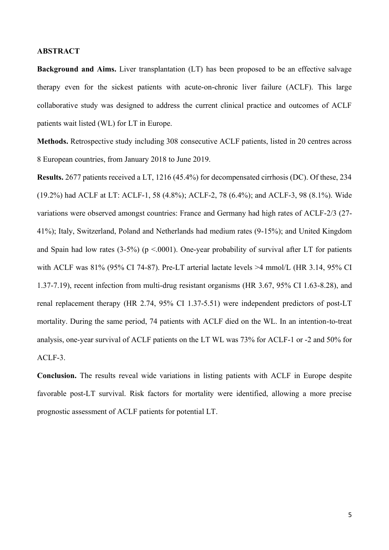#### **ABSTRACT**

**Background and Aims.** Liver transplantation (LT) has been proposed to be an effective salvage therapy even for the sickest patients with acute-on-chronic liver failure (ACLF). This large collaborative study was designed to address the current clinical practice and outcomes of ACLF patients wait listed (WL) for LT in Europe.

**Methods.** Retrospective study including 308 consecutive ACLF patients, listed in 20 centres across 8 European countries, from January 2018 to June 2019.

**Results.** 2677 patients received a LT, 1216 (45.4%) for decompensated cirrhosis (DC). Of these, 234 (19.2%) had ACLF at LT: ACLF-1, 58 (4.8%); ACLF-2, 78 (6.4%); and ACLF-3, 98 (8.1%). Wide variations were observed amongst countries: France and Germany had high rates of ACLF-2/3 (27- 41%); Italy, Switzerland, Poland and Netherlands had medium rates (9-15%); and United Kingdom and Spain had low rates  $(3-5\%)$  (p <.0001). One-year probability of survival after LT for patients with ACLF was 81% (95% CI 74-87). Pre-LT arterial lactate levels >4 mmol/L (HR 3.14, 95% CI 1.37-7.19), recent infection from multi-drug resistant organisms (HR 3.67, 95% CI 1.63-8.28), and renal replacement therapy (HR 2.74, 95% CI 1.37-5.51) were independent predictors of post-LT mortality. During the same period, 74 patients with ACLF died on the WL. In an intention-to-treat analysis, one-year survival of ACLF patients on the LT WL was 73% for ACLF-1 or -2 and 50% for ACLF-3.

**Conclusion.** The results reveal wide variations in listing patients with ACLF in Europe despite favorable post-LT survival. Risk factors for mortality were identified, allowing a more precise prognostic assessment of ACLF patients for potential LT.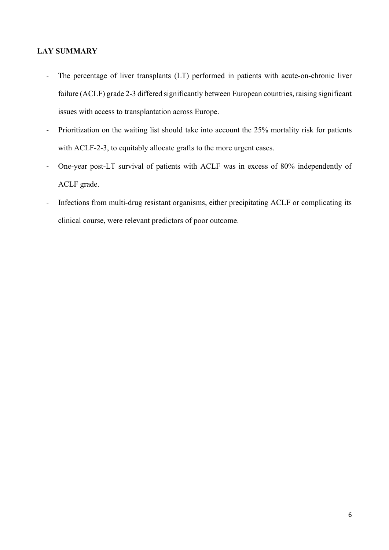## **LAY SUMMARY**

- The percentage of liver transplants (LT) performed in patients with acute-on-chronic liver failure (ACLF) grade 2-3 differed significantly between European countries, raising significant issues with access to transplantation across Europe.
- Prioritization on the waiting list should take into account the 25% mortality risk for patients with ACLF-2-3, to equitably allocate grafts to the more urgent cases.
- One-year post-LT survival of patients with ACLF was in excess of 80% independently of ACLF grade.
- Infections from multi-drug resistant organisms, either precipitating ACLF or complicating its clinical course, were relevant predictors of poor outcome.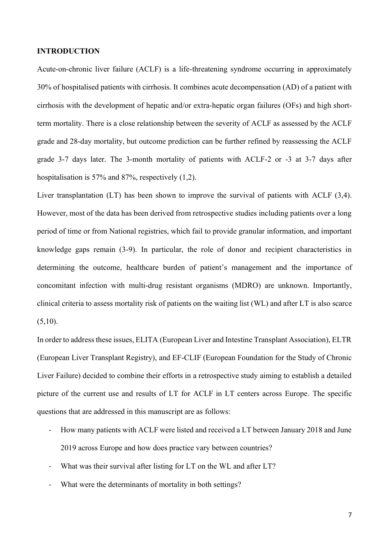#### **INTRODUCTION**

Acute-on-chronic liver failure (ACLF) is a life-threatening syndrome occurring in approximately 30% of hospitalised patients with cirrhosis. It combines acute decompensation (AD) of a patient with cirrhosis with the development of hepatic and/or extra-hepatic organ failures (OFs) and high shortterm mortality. There is a close relationship between the severity of ACLF as assessed by the ACLF grade and 28-day mortality, but outcome prediction can be further refined by reassessing the ACLF grade 3-7 days later. The 3-month mortality of patients with ACLF-2 or -3 at 3-7 days after hospitalisation is 57% and 87%, respectively (1,2).

Liver transplantation (LT) has been shown to improve the survival of patients with ACLF (3,4). However, most of the data has been derived from retrospective studies including patients over a long period of time or from National registries, which fail to provide granular information, and important knowledge gaps remain (3-9). In particular, the role of donor and recipient characteristics in determining the outcome, healthcare burden of patient's management and the importance of concomitant infection with multi-drug resistant organisms (MDRO) are unknown. Importantly, clinical criteria to assess mortality risk of patients on the waiting list (WL) and after LT is also scarce  $(5,10)$ .

In order to address these issues, ELITA (European Liver and Intestine Transplant Association), ELTR (European Liver Transplant Registry), and EF-CLIF (European Foundation for the Study of Chronic Liver Failure) decided to combine their efforts in a retrospective study aiming to establish a detailed picture of the current use and results of LT for ACLF in LT centers across Europe. The specific questions that are addressed in this manuscript are as follows:

- How many patients with ACLF were listed and received a LT between January 2018 and June 2019 across Europe and how does practice vary between countries?
- What was their survival after listing for LT on the WL and after LT?
- What were the determinants of mortality in both settings?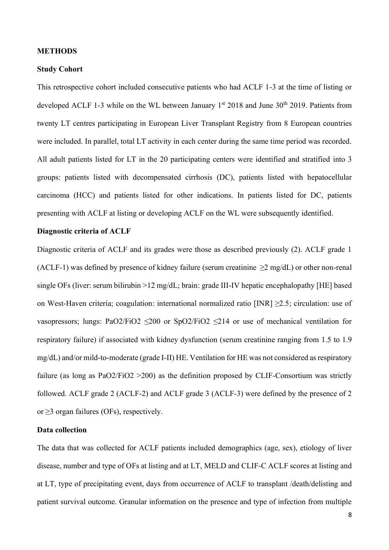#### **METHODS**

### **Study Cohort**

This retrospective cohort included consecutive patients who had ACLF 1-3 at the time of listing or developed ACLF 1-3 while on the WL between January 1<sup>st</sup> 2018 and June 30<sup>th</sup> 2019. Patients from twenty LT centres participating in European Liver Transplant Registry from 8 European countries were included. In parallel, total LT activity in each center during the same time period was recorded. All adult patients listed for LT in the 20 participating centers were identified and stratified into 3 groups: patients listed with decompensated cirrhosis (DC), patients listed with hepatocellular carcinoma (HCC) and patients listed for other indications. In patients listed for DC, patients presenting with ACLF at listing or developing ACLF on the WL were subsequently identified.

#### **Diagnostic criteria of ACLF**

Diagnostic criteria of ACLF and its grades were those as described previously (2). ACLF grade 1 (ACLF-1) was defined by presence of kidney failure (serum creatinine  $\geq 2$  mg/dL) or other non-renal single OFs (liver: serum bilirubin >12 mg/dL; brain: grade III-IV hepatic encephalopathy [HE] based on West-Haven criteria; coagulation: international normalized ratio [INR] ≥2.5; circulation: use of vasopressors; lungs: PaO2/FiO2  $\leq$ 200 or SpO2/FiO2  $\leq$ 214 or use of mechanical ventilation for respiratory failure) if associated with kidney dysfunction (serum creatinine ranging from 1.5 to 1.9 mg/dL) and/or mild-to-moderate (grade I-II) HE. Ventilation for HE was not considered as respiratory failure (as long as PaO2/FiO2 > 200) as the definition proposed by CLIF-Consortium was strictly followed. ACLF grade 2 (ACLF-2) and ACLF grade 3 (ACLF-3) were defined by the presence of 2 or  $\geq$ 3 organ failures (OFs), respectively.

#### **Data collection**

The data that was collected for ACLF patients included demographics (age, sex), etiology of liver disease, number and type of OFs at listing and at LT, MELD and CLIF-C ACLF scores at listing and at LT, type of precipitating event, days from occurrence of ACLF to transplant /death/delisting and patient survival outcome. Granular information on the presence and type of infection from multiple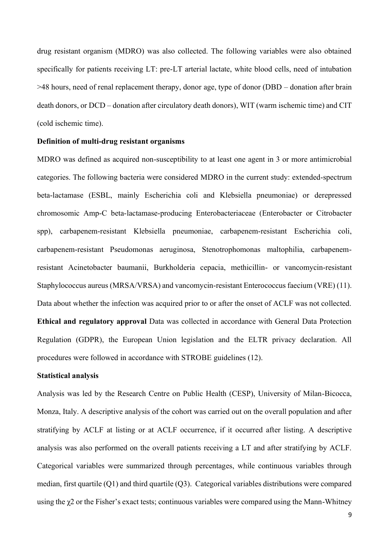drug resistant organism (MDRO) was also collected. The following variables were also obtained specifically for patients receiving LT: pre-LT arterial lactate, white blood cells, need of intubation >48 hours, need of renal replacement therapy, donor age, type of donor (DBD – donation after brain death donors, or DCD – donation after circulatory death donors), WIT (warm ischemic time) and CIT (cold ischemic time).

#### **Definition of multi-drug resistant organisms**

MDRO was defined as acquired non-susceptibility to at least one agent in 3 or more antimicrobial categories. The following bacteria were considered MDRO in the current study: extended-spectrum beta-lactamase (ESBL, mainly Escherichia coli and Klebsiella pneumoniae) or derepressed chromosomic Amp-C beta-lactamase-producing Enterobacteriaceae (Enterobacter or Citrobacter spp), carbapenem-resistant Klebsiella pneumoniae, carbapenem-resistant Escherichia coli, carbapenem-resistant Pseudomonas aeruginosa, Stenotrophomonas maltophilia, carbapenemresistant Acinetobacter baumanii, Burkholderia cepacia, methicillin- or vancomycin-resistant Staphylococcus aureus (MRSA/VRSA) and vancomycin-resistant Enterococcus faecium (VRE) (11). Data about whether the infection was acquired prior to or after the onset of ACLF was not collected. **Ethical and regulatory approval** Data was collected in accordance with General Data Protection Regulation (GDPR), the European Union legislation and the ELTR privacy declaration. All procedures were followed in accordance with STROBE guidelines (12).

#### **Statistical analysis**

Analysis was led by the Research Centre on Public Health (CESP), University of Milan-Bicocca, Monza, Italy. A descriptive analysis of the cohort was carried out on the overall population and after stratifying by ACLF at listing or at ACLF occurrence, if it occurred after listing. A descriptive analysis was also performed on the overall patients receiving a LT and after stratifying by ACLF. Categorical variables were summarized through percentages, while continuous variables through median, first quartile (Q1) and third quartile (Q3). Categorical variables distributions were compared using the χ2 or the Fisher's exact tests; continuous variables were compared using the Mann-Whitney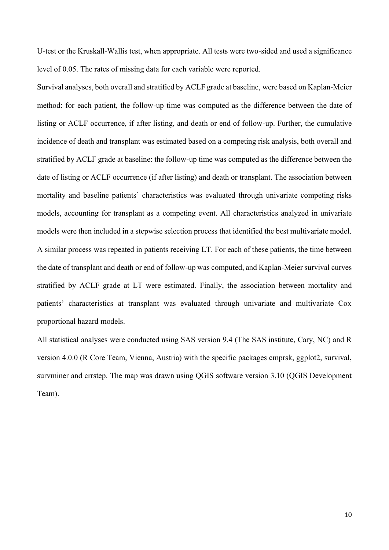U-test or the Kruskall-Wallis test, when appropriate. All tests were two-sided and used a significance level of 0.05. The rates of missing data for each variable were reported.

Survival analyses, both overall and stratified by ACLF grade at baseline, were based on Kaplan-Meier method: for each patient, the follow-up time was computed as the difference between the date of listing or ACLF occurrence, if after listing, and death or end of follow-up. Further, the cumulative incidence of death and transplant was estimated based on a competing risk analysis, both overall and stratified by ACLF grade at baseline: the follow-up time was computed as the difference between the date of listing or ACLF occurrence (if after listing) and death or transplant. The association between mortality and baseline patients' characteristics was evaluated through univariate competing risks models, accounting for transplant as a competing event. All characteristics analyzed in univariate models were then included in a stepwise selection process that identified the best multivariate model. A similar process was repeated in patients receiving LT. For each of these patients, the time between the date of transplant and death or end of follow-up was computed, and Kaplan-Meier survival curves stratified by ACLF grade at LT were estimated. Finally, the association between mortality and patients' characteristics at transplant was evaluated through univariate and multivariate Cox proportional hazard models.

All statistical analyses were conducted using SAS version 9.4 (The SAS institute, Cary, NC) and R version 4.0.0 (R Core Team, Vienna, Austria) with the specific packages cmprsk, ggplot2, survival, survminer and crrstep. The map was drawn using QGIS software version 3.10 (QGIS Development Team).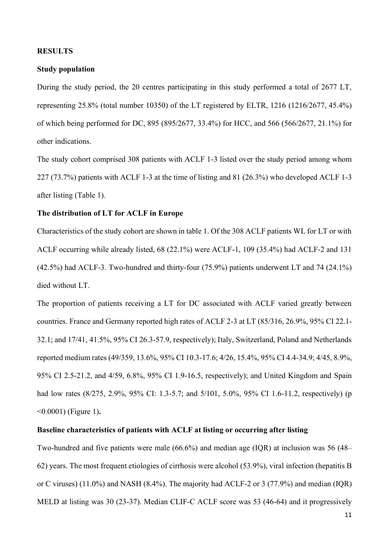#### **RESULTS**

### **Study population**

During the study period, the 20 centres participating in this study performed a total of 2677 LT, representing 25.8% (total number 10350) of the LT registered by ELTR, 1216 (1216/2677, 45.4%) of which being performed for DC, 895 (895/2677, 33.4%) for HCC, and 566 (566/2677, 21.1%) for other indications.

The study cohort comprised 308 patients with ACLF 1-3 listed over the study period among whom 227 (73.7%) patients with ACLF 1-3 at the time of listing and 81 (26.3%) who developed ACLF 1-3 after listing (Table 1).

## **The distribution of LT for ACLF in Europe**

Characteristics of the study cohort are shown in table 1. Of the 308 ACLF patients WL for LT or with ACLF occurring while already listed, 68 (22.1%) were ACLF-1, 109 (35.4%) had ACLF-2 and 131 (42.5%) had ACLF-3. Two-hundred and thirty-four (75.9%) patients underwent LT and 74 (24.1%) died without LT.

The proportion of patients receiving a LT for DC associated with ACLF varied greatly between countries. France and Germany reported high rates of ACLF 2-3 at LT (85/316, 26.9%, 95% CI 22.1- 32.1; and 17/41, 41.5%, 95% CI 26.3-57.9, respectively); Italy, Switzerland, Poland and Netherlands reported medium rates (49/359, 13.6%, 95% CI 10.3-17.6; 4/26, 15.4%, 95% CI 4.4-34.9; 4/45, 8.9%, 95% CI 2.5-21.2, and 4/59, 6.8%, 95% CI 1.9-16.5, respectively); and United Kingdom and Spain had low rates (8/275, 2.9%, 95% CI: 1.3-5.7; and 5/101, 5.0%, 95% CI 1.6-11.2, respectively) (p <0.0001) (Figure 1)**.**

#### **Baseline characteristics of patients with ACLF at listing or occurring after listing**

Two-hundred and five patients were male (66.6%) and median age (IQR) at inclusion was 56 (48– 62) years. The most frequent etiologies of cirrhosis were alcohol (53.9%), viral infection (hepatitis B or C viruses) (11.0%) and NASH (8.4%). The majority had ACLF-2 or 3 (77.9%) and median (IQR) MELD at listing was 30 (23-37). Median CLIF-C ACLF score was 53 (46-64) and it progressively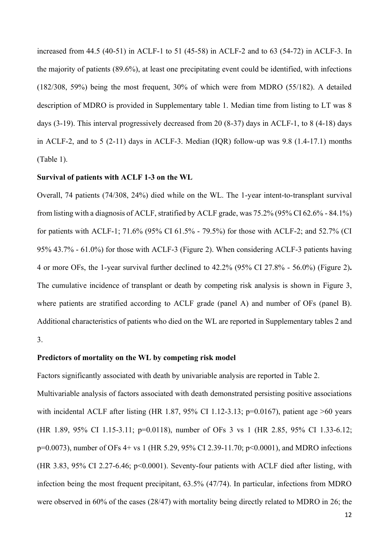increased from 44.5 (40-51) in ACLF-1 to 51 (45-58) in ACLF-2 and to 63 (54-72) in ACLF-3. In the majority of patients (89.6%), at least one precipitating event could be identified, with infections (182/308, 59%) being the most frequent, 30% of which were from MDRO (55/182). A detailed description of MDRO is provided in Supplementary table 1. Median time from listing to LT was 8 days (3-19). This interval progressively decreased from 20 (8-37) days in ACLF-1, to 8 (4-18) days in ACLF-2, and to 5 (2-11) days in ACLF-3. Median (IQR) follow-up was 9.8 (1.4-17.1) months (Table 1).

#### **Survival of patients with ACLF 1-3 on the WL**

Overall, 74 patients (74/308, 24%) died while on the WL. The 1-year intent-to-transplant survival from listing with a diagnosis of ACLF, stratified by ACLF grade, was 75.2% (95% CI 62.6% - 84.1%) for patients with ACLF-1; 71.6% (95% CI 61.5% - 79.5%) for those with ACLF-2; and 52.7% (CI 95% 43.7% - 61.0%) for those with ACLF-3 (Figure 2). When considering ACLF-3 patients having 4 or more OFs, the 1-year survival further declined to 42.2% (95% CI 27.8% - 56.0%) (Figure 2)**.** The cumulative incidence of transplant or death by competing risk analysis is shown in Figure 3, where patients are stratified according to ACLF grade (panel A) and number of OFs (panel B). Additional characteristics of patients who died on the WL are reported in Supplementary tables 2 and 3.

#### **Predictors of mortality on the WL by competing risk model**

Factors significantly associated with death by univariable analysis are reported in Table 2.

Multivariable analysis of factors associated with death demonstrated persisting positive associations with incidental ACLF after listing (HR 1.87, 95% CI 1.12-3.13; p=0.0167), patient age  $>60$  years (HR 1.89, 95% CI 1.15-3.11; p=0.0118), number of OFs 3 vs 1 (HR 2.85, 95% CI 1.33-6.12; p=0.0073), number of OFs 4+ vs 1 (HR 5.29, 95% CI 2.39-11.70; p<0.0001), and MDRO infections (HR 3.83, 95% CI 2.27-6.46; p<0.0001). Seventy-four patients with ACLF died after listing, with infection being the most frequent precipitant, 63.5% (47/74). In particular, infections from MDRO were observed in 60% of the cases (28/47) with mortality being directly related to MDRO in 26; the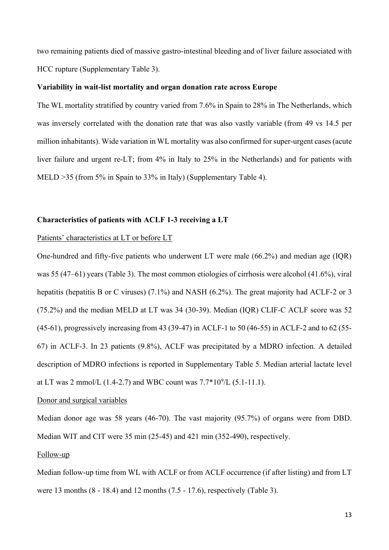two remaining patients died of massive gastro-intestinal bleeding and of liver failure associated with HCC rupture (Supplementary Table 3).

#### **Variability in wait-list mortality and organ donation rate across Europe**

The WL mortality stratified by country varied from 7.6% in Spain to 28% in The Netherlands, which was inversely correlated with the donation rate that was also vastly variable (from 49 vs 14.5 per million inhabitants). Wide variation in WL mortality was also confirmed for super-urgent cases (acute liver failure and urgent re-LT; from 4% in Italy to 25% in the Netherlands) and for patients with MELD >35 (from 5% in Spain to 33% in Italy) (Supplementary Table 4).

#### **Characteristics of patients with ACLF 1-3 receiving a LT**

#### Patients' characteristics at LT or before LT

One-hundred and fifty-five patients who underwent LT were male (66.2%) and median age (IQR) was 55 (47–61) years (Table 3). The most common etiologies of cirrhosis were alcohol (41.6%), viral hepatitis (hepatitis B or C viruses) (7.1%) and NASH (6.2%). The great majority had ACLF-2 or 3 (75.2%) and the median MELD at LT was 34 (30-39). Median (IQR) CLIF-C ACLF score was 52 (45-61), progressively increasing from 43 (39-47) in ACLF-1 to 50 (46-55) in ACLF-2 and to 62 (55- 67) in ACLF-3. In 23 patients (9.8%), ACLF was precipitated by a MDRO infection. A detailed description of MDRO infections is reported in Supplementary Table 5. Median arterial lactate level at LT was 2 mmol/L  $(1.4-2.7)$  and WBC count was  $7.7*10<sup>9</sup>/L (5.1-11.1)$ .

#### Donor and surgical variables

Median donor age was 58 years (46-70). The vast majority (95.7%) of organs were from DBD. Median WIT and CIT were 35 min (25-45) and 421 min (352-490), respectively.

#### Follow-up

Median follow-up time from WL with ACLF or from ACLF occurrence (if after listing) and from LT were 13 months (8 - 18.4) and 12 months (7.5 - 17.6), respectively (Table 3).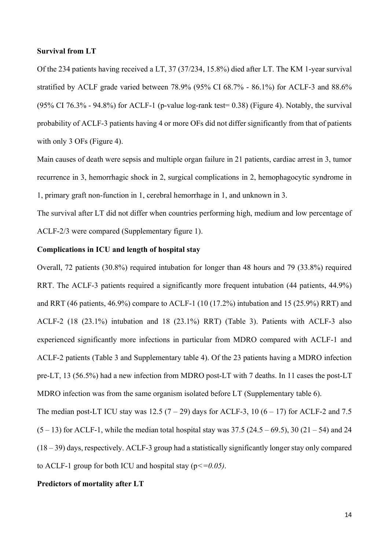#### **Survival from LT**

Of the 234 patients having received a LT, 37 (37/234, 15.8%) died after LT. The KM 1-year survival stratified by ACLF grade varied between 78.9% (95% CI 68.7% - 86.1%) for ACLF-3 and 88.6%  $(95\% \text{ CI } 76.3\%$  - 94.8%) for ACLF-1 (p-value log-rank test= 0.38) (Figure 4). Notably, the survival probability of ACLF-3 patients having 4 or more OFs did not differ significantly from that of patients with only 3 OFs (Figure 4).

Main causes of death were sepsis and multiple organ failure in 21 patients, cardiac arrest in 3, tumor recurrence in 3, hemorrhagic shock in 2, surgical complications in 2, hemophagocytic syndrome in 1, primary graft non-function in 1, cerebral hemorrhage in 1, and unknown in 3.

The survival after LT did not differ when countries performing high, medium and low percentage of ACLF-2/3 were compared (Supplementary figure 1).

## **Complications in ICU and length of hospital stay**

Overall, 72 patients (30.8%) required intubation for longer than 48 hours and 79 (33.8%) required RRT. The ACLF-3 patients required a significantly more frequent intubation (44 patients, 44.9%) and RRT (46 patients, 46.9%) compare to ACLF-1 (10 (17.2%) intubation and 15 (25.9%) RRT) and ACLF-2 (18 (23.1%) intubation and 18 (23.1%) RRT) (Table 3). Patients with ACLF-3 also experienced significantly more infections in particular from MDRO compared with ACLF-1 and ACLF-2 patients (Table 3 and Supplementary table 4). Of the 23 patients having a MDRO infection pre-LT, 13 (56.5%) had a new infection from MDRO post-LT with 7 deaths. In 11 cases the post-LT MDRO infection was from the same organism isolated before LT (Supplementary table 6).

The median post-LT ICU stay was 12.5 (7 – 29) days for ACLF-3, 10 (6 – 17) for ACLF-2 and 7.5  $(5 - 13)$  for ACLF-1, while the median total hospital stay was 37.5 (24.5 – 69.5), 30 (21 – 54) and 24 (18 – 39) days, respectively. ACLF-3 group had a statistically significantly longer stay only compared to ACLF-1 group for both ICU and hospital stay (p*<=0.05)*.

#### **Predictors of mortality after LT**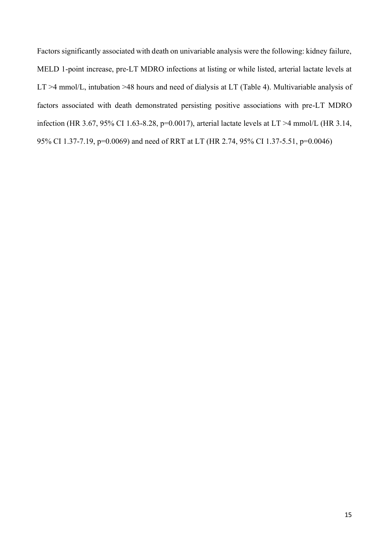Factors significantly associated with death on univariable analysis were the following: kidney failure, MELD 1-point increase, pre-LT MDRO infections at listing or while listed, arterial lactate levels at LT >4 mmol/L, intubation >48 hours and need of dialysis at LT (Table 4). Multivariable analysis of factors associated with death demonstrated persisting positive associations with pre-LT MDRO infection (HR 3.67, 95% CI 1.63-8.28, p=0.0017), arterial lactate levels at LT >4 mmol/L (HR 3.14, 95% CI 1.37-7.19, p=0.0069) and need of RRT at LT (HR 2.74, 95% CI 1.37-5.51, p=0.0046)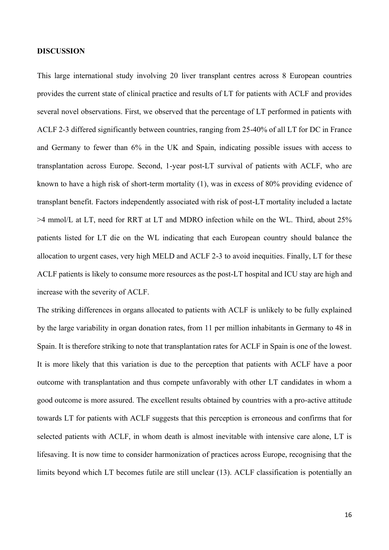#### **DISCUSSION**

This large international study involving 20 liver transplant centres across 8 European countries provides the current state of clinical practice and results of LT for patients with ACLF and provides several novel observations. First, we observed that the percentage of LT performed in patients with ACLF 2-3 differed significantly between countries, ranging from 25-40% of all LT for DC in France and Germany to fewer than 6% in the UK and Spain, indicating possible issues with access to transplantation across Europe. Second, 1-year post-LT survival of patients with ACLF, who are known to have a high risk of short-term mortality (1), was in excess of 80% providing evidence of transplant benefit. Factors independently associated with risk of post-LT mortality included a lactate >4 mmol/L at LT, need for RRT at LT and MDRO infection while on the WL. Third, about 25% patients listed for LT die on the WL indicating that each European country should balance the allocation to urgent cases, very high MELD and ACLF 2-3 to avoid inequities. Finally, LT for these ACLF patients is likely to consume more resources as the post-LT hospital and ICU stay are high and increase with the severity of ACLF.

The striking differences in organs allocated to patients with ACLF is unlikely to be fully explained by the large variability in organ donation rates, from 11 per million inhabitants in Germany to 48 in Spain. It is therefore striking to note that transplantation rates for ACLF in Spain is one of the lowest. It is more likely that this variation is due to the perception that patients with ACLF have a poor outcome with transplantation and thus compete unfavorably with other LT candidates in whom a good outcome is more assured. The excellent results obtained by countries with a pro-active attitude towards LT for patients with ACLF suggests that this perception is erroneous and confirms that for selected patients with ACLF, in whom death is almost inevitable with intensive care alone, LT is lifesaving. It is now time to consider harmonization of practices across Europe, recognising that the limits beyond which LT becomes futile are still unclear (13). ACLF classification is potentially an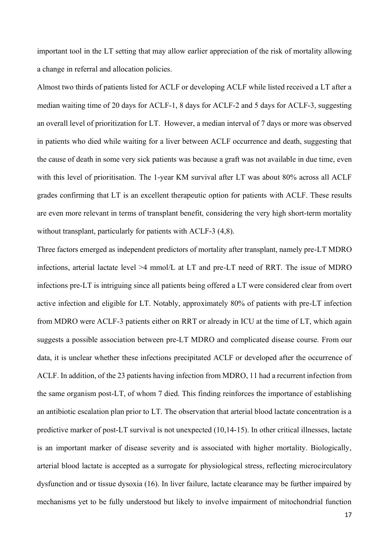important tool in the LT setting that may allow earlier appreciation of the risk of mortality allowing a change in referral and allocation policies.

Almost two thirds of patients listed for ACLF or developing ACLF while listed received a LT after a median waiting time of 20 days for ACLF-1, 8 days for ACLF-2 and 5 days for ACLF-3, suggesting an overall level of prioritization for LT. However, a median interval of 7 days or more was observed in patients who died while waiting for a liver between ACLF occurrence and death, suggesting that the cause of death in some very sick patients was because a graft was not available in due time, even with this level of prioritisation. The 1-year KM survival after LT was about 80% across all ACLF grades confirming that LT is an excellent therapeutic option for patients with ACLF. These results are even more relevant in terms of transplant benefit, considering the very high short-term mortality without transplant, particularly for patients with ACLF-3 (4,8).

Three factors emerged as independent predictors of mortality after transplant, namely pre-LT MDRO infections, arterial lactate level >4 mmol/L at LT and pre-LT need of RRT. The issue of MDRO infections pre-LT is intriguing since all patients being offered a LT were considered clear from overt active infection and eligible for LT. Notably, approximately 80% of patients with pre-LT infection from MDRO were ACLF-3 patients either on RRT or already in ICU at the time of LT, which again suggests a possible association between pre-LT MDRO and complicated disease course. From our data, it is unclear whether these infections precipitated ACLF or developed after the occurrence of ACLF. In addition, of the 23 patients having infection from MDRO, 11 had a recurrent infection from the same organism post-LT, of whom 7 died. This finding reinforces the importance of establishing an antibiotic escalation plan prior to LT. The observation that arterial blood lactate concentration is a predictive marker of post-LT survival is not unexpected (10,14-15). In other critical illnesses, lactate is an important marker of disease severity and is associated with higher mortality. Biologically, arterial blood lactate is accepted as a surrogate for physiological stress, reflecting microcirculatory dysfunction and or tissue dysoxia (16). In liver failure, lactate clearance may be further impaired by mechanisms yet to be fully understood but likely to involve impairment of mitochondrial function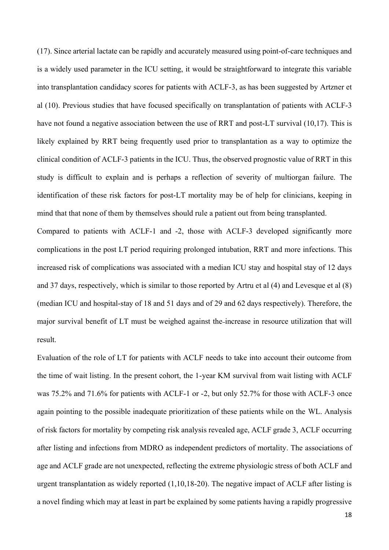(17). Since arterial lactate can be rapidly and accurately measured using point-of-care techniques and is a widely used parameter in the ICU setting, it would be straightforward to integrate this variable into transplantation candidacy scores for patients with ACLF-3, as has been suggested by Artzner et al (10). Previous studies that have focused specifically on transplantation of patients with ACLF-3 have not found a negative association between the use of RRT and post-LT survival (10,17). This is likely explained by RRT being frequently used prior to transplantation as a way to optimize the clinical condition of ACLF-3 patients in the ICU. Thus, the observed prognostic value of RRT in this study is difficult to explain and is perhaps a reflection of severity of multiorgan failure. The identification of these risk factors for post-LT mortality may be of help for clinicians, keeping in mind that that none of them by themselves should rule a patient out from being transplanted.

Compared to patients with ACLF-1 and -2, those with ACLF-3 developed significantly more complications in the post LT period requiring prolonged intubation, RRT and more infections. This increased risk of complications was associated with a median ICU stay and hospital stay of 12 days and 37 days, respectively, which is similar to those reported by Artru et al (4) and Levesque et al (8) (median ICU and hospital-stay of 18 and 51 days and of 29 and 62 days respectively). Therefore, the major survival benefit of LT must be weighed against the increase in resource utilization that will result.

Evaluation of the role of LT for patients with ACLF needs to take into account their outcome from the time of wait listing. In the present cohort, the 1-year KM survival from wait listing with ACLF was 75.2% and 71.6% for patients with ACLF-1 or -2, but only 52.7% for those with ACLF-3 once again pointing to the possible inadequate prioritization of these patients while on the WL. Analysis of risk factors for mortality by competing risk analysis revealed age, ACLF grade 3, ACLF occurring after listing and infections from MDRO as independent predictors of mortality. The associations of age and ACLF grade are not unexpected, reflecting the extreme physiologic stress of both ACLF and urgent transplantation as widely reported (1,10,18-20). The negative impact of ACLF after listing is a novel finding which may at least in part be explained by some patients having a rapidly progressive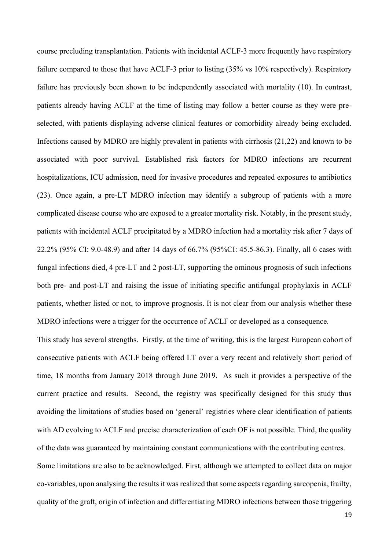course precluding transplantation. Patients with incidental ACLF-3 more frequently have respiratory failure compared to those that have ACLF-3 prior to listing (35% vs 10% respectively). Respiratory failure has previously been shown to be independently associated with mortality (10). In contrast, patients already having ACLF at the time of listing may follow a better course as they were preselected, with patients displaying adverse clinical features or comorbidity already being excluded. Infections caused by MDRO are highly prevalent in patients with cirrhosis (21,22) and known to be associated with poor survival. Established risk factors for MDRO infections are recurrent hospitalizations, ICU admission, need for invasive procedures and repeated exposures to antibiotics (23). Once again, a pre-LT MDRO infection may identify a subgroup of patients with a more complicated disease course who are exposed to a greater mortality risk. Notably, in the present study, patients with incidental ACLF precipitated by a MDRO infection had a mortality risk after 7 days of 22.2% (95% CI: 9.0-48.9) and after 14 days of 66.7% (95%CI: 45.5-86.3). Finally, all 6 cases with fungal infections died, 4 pre-LT and 2 post-LT, supporting the ominous prognosis of such infections both pre- and post-LT and raising the issue of initiating specific antifungal prophylaxis in ACLF patients, whether listed or not, to improve prognosis. It is not clear from our analysis whether these MDRO infections were a trigger for the occurrence of ACLF or developed as a consequence.

This study has several strengths. Firstly, at the time of writing, this is the largest European cohort of consecutive patients with ACLF being offered LT over a very recent and relatively short period of time, 18 months from January 2018 through June 2019. As such it provides a perspective of the current practice and results. Second, the registry was specifically designed for this study thus avoiding the limitations of studies based on 'general' registries where clear identification of patients with AD evolving to ACLF and precise characterization of each OF is not possible. Third, the quality of the data was guaranteed by maintaining constant communications with the contributing centres. Some limitations are also to be acknowledged. First, although we attempted to collect data on major co-variables, upon analysing the results it was realized that some aspects regarding sarcopenia, frailty, quality of the graft, origin of infection and differentiating MDRO infections between those triggering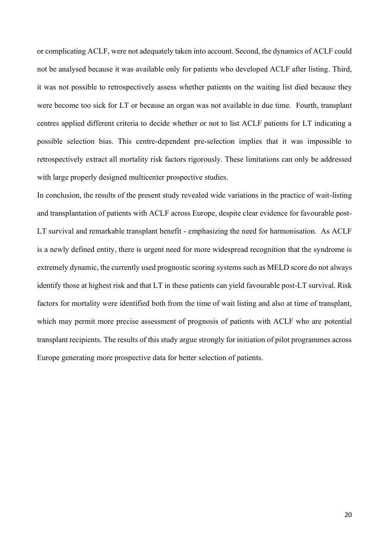or complicating ACLF, were not adequately taken into account. Second, the dynamics of ACLF could not be analysed because it was available only for patients who developed ACLF after listing. Third, it was not possible to retrospectively assess whether patients on the waiting list died because they were become too sick for LT or because an organ was not available in due time. Fourth, transplant centres applied different criteria to decide whether or not to list ACLF patients for LT indicating a possible selection bias. This centre-dependent pre-selection implies that it was impossible to retrospectively extract all mortality risk factors rigorously. These limitations can only be addressed with large properly designed multicenter prospective studies.

In conclusion, the results of the present study revealed wide variations in the practice of wait-listing and transplantation of patients with ACLF across Europe, despite clear evidence for favourable post-LT survival and remarkable transplant benefit - emphasizing the need for harmonisation. As ACLF is a newly defined entity, there is urgent need for more widespread recognition that the syndrome is extremely dynamic, the currently used prognostic scoring systems such as MELD score do not always identify those at highest risk and that LT in these patients can yield favourable post-LT survival. Risk factors for mortality were identified both from the time of wait listing and also at time of transplant, which may permit more precise assessment of prognosis of patients with ACLF who are potential transplant recipients. The results of this study argue strongly for initiation of pilot programmes across Europe generating more prospective data for better selection of patients.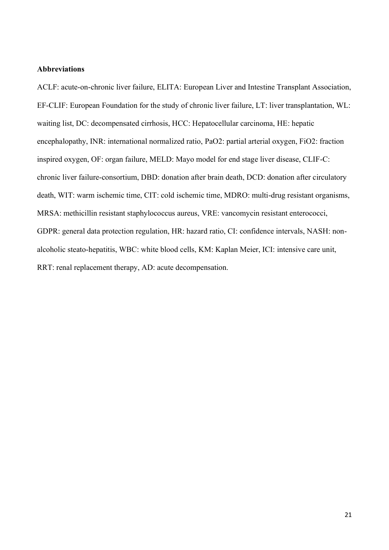### **Abbreviations**

ACLF: acute-on-chronic liver failure, ELITA: European Liver and Intestine Transplant Association, EF-CLIF: European Foundation for the study of chronic liver failure, LT: liver transplantation, WL: waiting list, DC: decompensated cirrhosis, HCC: Hepatocellular carcinoma, HE: hepatic encephalopathy, INR: international normalized ratio, PaO2: partial arterial oxygen, FiO2: fraction inspired oxygen, OF: organ failure, MELD: Mayo model for end stage liver disease, CLIF-C: chronic liver failure-consortium, DBD: donation after brain death, DCD: donation after circulatory death, WIT: warm ischemic time, CIT: cold ischemic time, MDRO: multi-drug resistant organisms, MRSA: methicillin resistant staphylococcus aureus, VRE: vancomycin resistant enterococci, GDPR: general data protection regulation, HR: hazard ratio, CI: confidence intervals, NASH: nonalcoholic steato-hepatitis, WBC: white blood cells, KM: Kaplan Meier, ICI: intensive care unit, RRT: renal replacement therapy, AD: acute decompensation.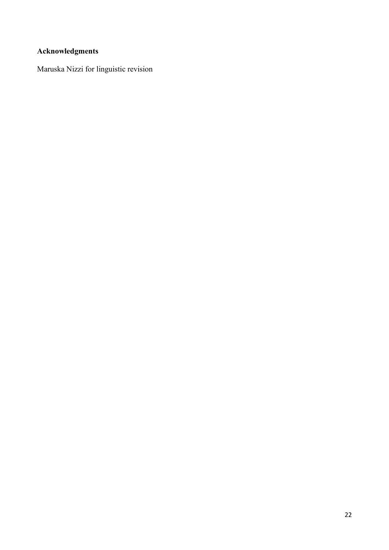# **Acknowledgments**

Maruska Nizzi for linguistic revision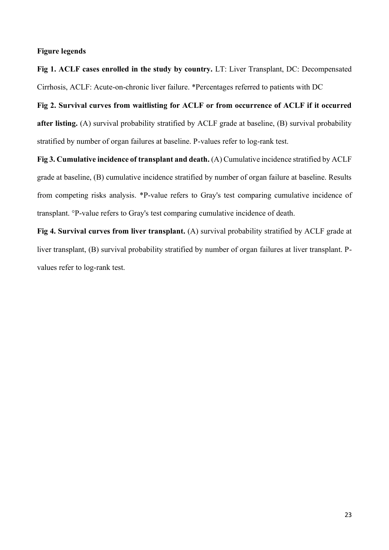### **Figure legends**

**Fig 1. ACLF cases enrolled in the study by country.** LT: Liver Transplant, DC: Decompensated Cirrhosis, ACLF: Acute-on-chronic liver failure. \*Percentages referred to patients with DC

**Fig 2. Survival curves from waitlisting for ACLF or from occurrence of ACLF if it occurred after listing.** (A) survival probability stratified by ACLF grade at baseline, (B) survival probability stratified by number of organ failures at baseline. P-values refer to log-rank test.

**Fig 3. Cumulative incidence of transplant and death.** (A) Cumulative incidence stratified by ACLF grade at baseline, (B) cumulative incidence stratified by number of organ failure at baseline. Results from competing risks analysis. \*P-value refers to Gray's test comparing cumulative incidence of transplant. °P-value refers to Gray's test comparing cumulative incidence of death.

**Fig 4. Survival curves from liver transplant.** (A) survival probability stratified by ACLF grade at liver transplant, (B) survival probability stratified by number of organ failures at liver transplant. Pvalues refer to log-rank test.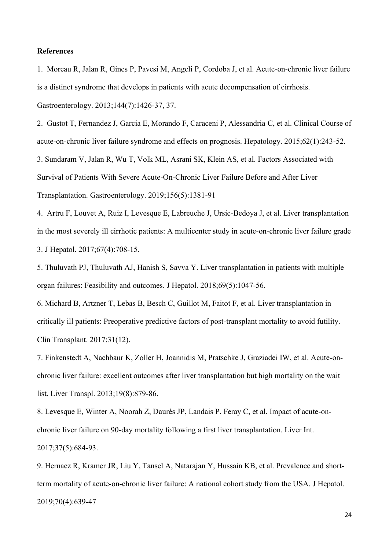#### **References**

1. Moreau R, Jalan R, Gines P, Pavesi M, Angeli P, Cordoba J, et al. Acute-on-chronic liver failure is a distinct syndrome that develops in patients with acute decompensation of cirrhosis. Gastroenterology. 2013;144(7):1426-37, 37.

2. Gustot T, Fernandez J, Garcia E, Morando F, Caraceni P, Alessandria C, et al. Clinical Course of acute-on-chronic liver failure syndrome and effects on prognosis. Hepatology. 2015;62(1):243-52. 3. Sundaram V, Jalan R, Wu T, Volk ML, Asrani SK, Klein AS, et al. Factors Associated with Survival of Patients With Severe Acute-On-Chronic Liver Failure Before and After Liver Transplantation. Gastroenterology. 2019;156(5):1381-91

4. Artru F, Louvet A, Ruiz I, Levesque E, Labreuche J, Ursic-Bedoya J, et al. Liver transplantation in the most severely ill cirrhotic patients: A multicenter study in acute-on-chronic liver failure grade 3. J Hepatol. 2017;67(4):708-15.

5. Thuluvath PJ, Thuluvath AJ, Hanish S, Savva Y. Liver transplantation in patients with multiple organ failures: Feasibility and outcomes. J Hepatol. 2018;69(5):1047-56.

6. Michard B, Artzner T, Lebas B, Besch C, Guillot M, Faitot F, et al. Liver transplantation in critically ill patients: Preoperative predictive factors of post-transplant mortality to avoid futility. Clin Transplant. 2017;31(12).

7. Finkenstedt A, Nachbaur K, Zoller H, Joannidis M, Pratschke J, Graziadei IW, et al. Acute-onchronic liver failure: excellent outcomes after liver transplantation but high mortality on the wait list. Liver Transpl. 2013;19(8):879-86.

8. Levesque E, Winter A, Noorah Z, Daurès JP, Landais P, Feray C, et al. Impact of acute-onchronic liver failure on 90-day mortality following a first liver transplantation. Liver Int. 2017;37(5):684-93.

9. Hernaez R, Kramer JR, Liu Y, Tansel A, Natarajan Y, Hussain KB, et al. Prevalence and shortterm mortality of acute-on-chronic liver failure: A national cohort study from the USA. J Hepatol. 2019;70(4):639-47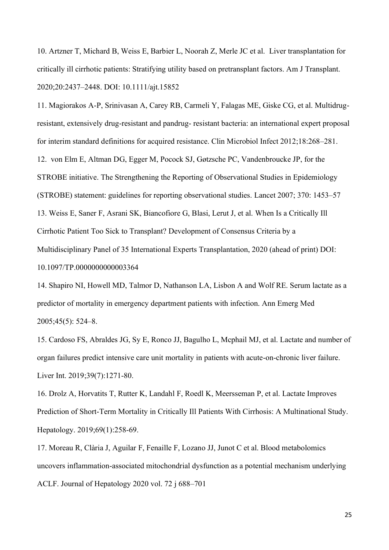10. Artzner T, Michard B, Weiss E, Barbier L, Noorah Z, Merle JC et al. Liver transplantation for critically ill cirrhotic patients: Stratifying utility based on pretransplant factors. Am J Transplant. 2020;20:2437–2448. DOI: 10.1111/ajt.15852

11. Magiorakos A-P, Srinivasan A, Carey RB, Carmeli Y, Falagas ME, Giske CG, et al. Multidrugresistant, extensively drug-resistant and pandrug- resistant bacteria: an international expert proposal for interim standard definitions for acquired resistance. Clin Microbiol Infect 2012;18:268–281. 12. von Elm E, Altman DG, Egger M, Pocock SJ, Gøtzsche PC, Vandenbroucke JP, for the STROBE initiative. The Strengthening the Reporting of Observational Studies in Epidemiology (STROBE) statement: guidelines for reporting observational studies. Lancet 2007; 370: 1453–57 13. Weiss E, Saner F, Asrani SK, Biancofiore G, Blasi, Lerut J, et al. When Is a Critically Ill Cirrhotic Patient Too Sick to Transplant? Development of Consensus Criteria by a Multidisciplinary Panel of 35 International Experts Transplantation, 2020 (ahead of print) DOI: 10.1097/TP.0000000000003364

14. Shapiro NI, Howell MD, Talmor D, Nathanson LA, Lisbon A and Wolf RE. Serum lactate as a predictor of mortality in emergency department patients with infection. Ann Emerg Med 2005;45(5): 524–8.

15. Cardoso FS, Abraldes JG, Sy E, Ronco JJ, Bagulho L, Mcphail MJ, et al. Lactate and number of organ failures predict intensive care unit mortality in patients with acute-on-chronic liver failure. Liver Int. 2019;39(7):1271-80.

16. Drolz A, Horvatits T, Rutter K, Landahl F, Roedl K, Meersseman P, et al. Lactate Improves Prediction of Short-Term Mortality in Critically Ill Patients With Cirrhosis: A Multinational Study. Hepatology. 2019;69(1):258-69.

17. Moreau R, Clària J, Aguilar F, Fenaille F, Lozano JJ, Junot C et al. Blood metabolomics uncovers inflammation-associated mitochondrial dysfunction as a potential mechanism underlying ACLF. Journal of Hepatology 2020 vol. 72 j 688–701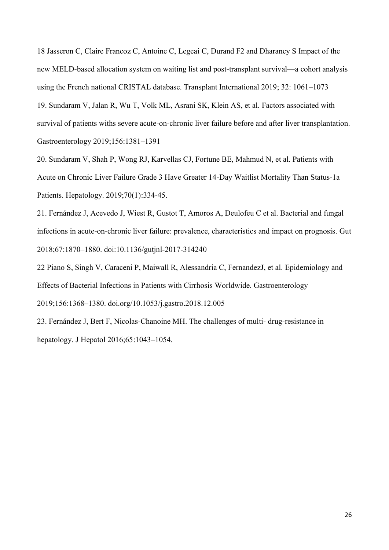18 Jasseron C, Claire Francoz C, Antoine C, Legeai C, Durand F2 and Dharancy S Impact of the new MELD-based allocation system on waiting list and post-transplant survival—a cohort analysis using the French national CRISTAL database. Transplant International 2019; 32: 1061–1073 19. Sundaram V, Jalan R, Wu T, Volk ML, Asrani SK, Klein AS, et al. Factors associated with survival of patients withs severe acute-on-chronic liver failure before and after liver transplantation. Gastroenterology 2019;156:1381–1391

20. Sundaram V, Shah P, Wong RJ, Karvellas CJ, Fortune BE, Mahmud N, et al. Patients with Acute on Chronic Liver Failure Grade 3 Have Greater 14-Day Waitlist Mortality Than Status-1a Patients. Hepatology. 2019;70(1):334-45.

21. Fernández J, Acevedo J, Wiest R, Gustot T, Amoros A, Deulofeu C et al. Bacterial and fungal infections in acute-on-chronic liver failure: prevalence, characteristics and impact on prognosis. Gut 2018;67:1870–1880. doi:10.1136/gutjnl-2017-314240

22 Piano S, Singh V, Caraceni P, Maiwall R, Alessandria C, FernandezJ, et al. Epidemiology and Effects of Bacterial Infections in Patients with Cirrhosis Worldwide. Gastroenterology 2019;156:1368–1380. doi.org/10.1053/j.gastro.2018.12.005

23. Fernández J, Bert F, Nicolas-Chanoine MH. The challenges of multi- drug-resistance in hepatology. J Hepatol 2016;65:1043–1054.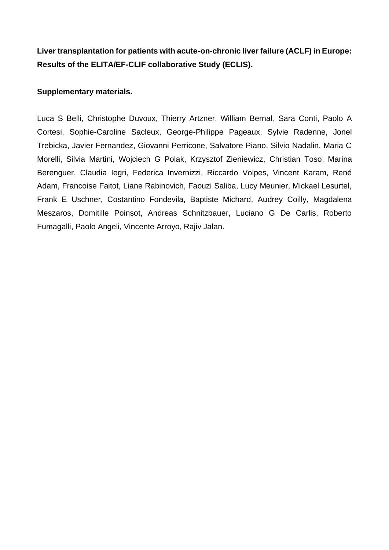**Liver transplantation for patients with acute-on-chronic liver failure (ACLF) in Europe: Results of the ELITA/EF-CLIF collaborative Study (ECLIS).**

## **Supplementary materials.**

Luca S Belli, Christophe Duvoux, Thierry Artzner, William Bernal, Sara Conti, Paolo A Cortesi, Sophie-Caroline Sacleux, George-Philippe Pageaux, Sylvie Radenne, Jonel Trebicka, Javier Fernandez, Giovanni Perricone, Salvatore Piano, Silvio Nadalin, Maria C Morelli, Silvia Martini, Wojciech G Polak, Krzysztof Zieniewicz, Christian Toso, Marina Berenguer, Claudia Iegri, Federica Invernizzi, Riccardo Volpes, Vincent Karam, René Adam, Francoise Faitot, Liane Rabinovich, Faouzi Saliba, Lucy Meunier, Mickael Lesurtel, Frank E Uschner, Costantino Fondevila, Baptiste Michard, Audrey Coilly, Magdalena Meszaros, Domitille Poinsot, Andreas Schnitzbauer, Luciano G De Carlis, Roberto Fumagalli, Paolo Angeli, Vincente Arroyo, Rajiv Jalan.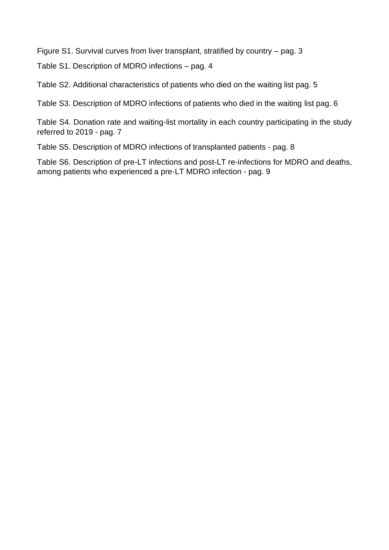Figure S1. Survival curves from liver transplant, stratified by country – pag. 3

Table S1. Description of MDRO infections – pag. 4

Table S2. Additional characteristics of patients who died on the waiting list pag. 5

Table S3. Description of MDRO infections of patients who died in the waiting list pag. 6

Table S4. Donation rate and waiting-list mortality in each country participating in the study referred to 2019 - pag. 7

Table S5. Description of MDRO infections of transplanted patients - pag. 8

Table S6. Description of pre-LT infections and post-LT re-infections for MDRO and deaths, among patients who experienced a pre-LT MDRO infection - pag. 9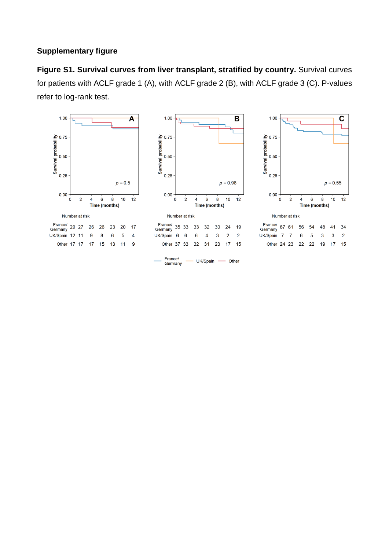# **Supplementary figure**

**Figure S1. Survival curves from liver transplant, stratified by country.** Survival curves for patients with ACLF grade 1 (A), with ACLF grade 2 (B), with ACLF grade 3 (C). P-values refer to log-rank test.





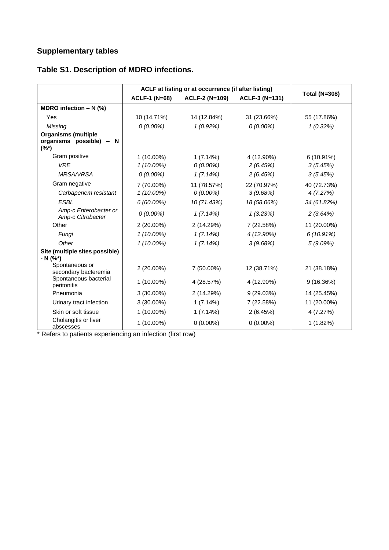# **Supplementary tables**

|                                                                     |                      | ACLF at listing or at occurrence (if after listing) |                |                      |
|---------------------------------------------------------------------|----------------------|-----------------------------------------------------|----------------|----------------------|
|                                                                     | <b>ACLF-1 (N=68)</b> | <b>ACLF-2 (N=109)</b>                               | ACLF-3 (N=131) | <b>Total (N=308)</b> |
| MDRO infection $- N$ (%)                                            |                      |                                                     |                |                      |
| Yes                                                                 | 10 (14.71%)          | 14 (12.84%)                                         | 31 (23.66%)    | 55 (17.86%)          |
| Missing                                                             | $0(0.00\%)$          | 1(0.92%)                                            | $0(0.00\%)$    | 1(0.32%)             |
| <b>Organisms (multiple</b><br>organisms possible) -<br>N<br>$(%^*)$ |                      |                                                     |                |                      |
| Gram positive                                                       | 1 (10.00%)           | 1(7.14%)                                            | 4 (12.90%)     | 6 (10.91%)           |
| <b>VRE</b>                                                          | $1(10.00\%)$         | $0(0.00\%)$                                         | 2(6.45%)       | 3(5.45%)             |
| MRSA/VRSA                                                           | $0(0.00\%)$          | 1(7.14%)                                            | 2(6.45%)       | 3(5.45%)             |
| Gram negative                                                       | 7 (70.00%)           | 11 (78.57%)                                         | 22 (70.97%)    | 40 (72.73%)          |
| Carbapenem resistant                                                | $1(10.00\%)$         | $0(0.00\%)$                                         | 3(9.68%)       | 4(7.27%)             |
| <b>ESBL</b>                                                         | $6(60.00\%)$         | 10 (71.43%)                                         | 18 (58.06%)    | 34 (61.82%)          |
| Amp-c Enterobacter or<br>Amp-c Citrobacter                          | $0(0.00\%)$          | 1(7.14%)                                            | 1(3.23%)       | 2(3.64%)             |
| Other                                                               | 2 (20.00%)           | 2 (14.29%)                                          | 7 (22.58%)     | 11 (20.00%)          |
| Fungi                                                               | $1(10.00\%)$         | 1(7.14%)                                            | 4 (12.90%)     | 6(10.91%)            |
| Other                                                               | $1(10.00\%)$         | 1(7.14%)                                            | 3(9.68%)       | 5(9.09%)             |
| Site (multiple sites possible)<br>- N (%*)                          |                      |                                                     |                |                      |
| Spontaneous or<br>secondary bacteremia                              | 2 (20.00%)           | 7 (50.00%)                                          | 12 (38.71%)    | 21 (38.18%)          |
| Spontaneous bacterial<br>peritonitis                                | $1(10.00\%)$         | 4 (28.57%)                                          | 4 (12.90%)     | 9(16.36%)            |
| Pneumonia                                                           | 3 (30.00%)           | 2 (14.29%)                                          | 9 (29.03%)     | 14 (25.45%)          |
| Urinary tract infection                                             | $3(30.00\%)$         | 1(7.14%)                                            | 7 (22.58%)     | 11 (20.00%)          |
| Skin or soft tissue                                                 | $1(10.00\%)$         | 1(7.14%)                                            | 2(6.45%)       | 4 (7.27%)            |
| Cholangitis or liver<br>abscesses                                   | 1 (10.00%)           | $0(0.00\%)$                                         | $0(0.00\%)$    | 1(1.82%)             |

# **Table S1. Description of MDRO infections.**

\* Refers to patients experiencing an infection (first row)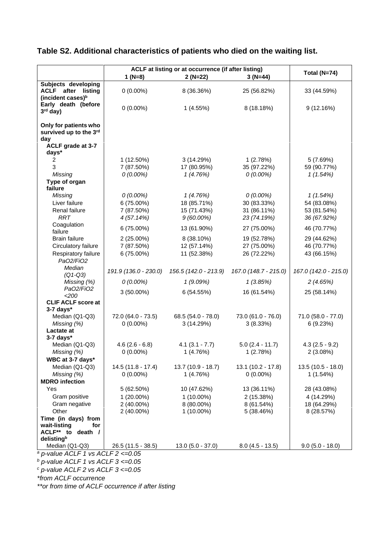## **Table S2. Additional characteristics of patients who died on the waiting list.**

|                                               | ACLF at listing or at occurrence (if after listing) |                       |                       |                       |  |  |  |  |
|-----------------------------------------------|-----------------------------------------------------|-----------------------|-----------------------|-----------------------|--|--|--|--|
|                                               | 1 $(N=8)$                                           | $2(N=22)$             | $3(N=44)$             | Total (N=74)          |  |  |  |  |
| Subjects developing                           |                                                     |                       |                       |                       |  |  |  |  |
| <b>ACLF</b> after listing                     | $0(0.00\%)$                                         | 8 (36.36%)            | 25 (56.82%)           | 33 (44.59%)           |  |  |  |  |
| (incident cases) <sup>b</sup>                 |                                                     |                       |                       |                       |  |  |  |  |
| Early death (before                           |                                                     |                       |                       |                       |  |  |  |  |
| 3rd day)                                      | $0(0.00\%)$                                         | 1(4.55%)              | 8 (18.18%)            | 9(12.16%)             |  |  |  |  |
|                                               |                                                     |                       |                       |                       |  |  |  |  |
| Only for patients who                         |                                                     |                       |                       |                       |  |  |  |  |
| survived up to the 3rd                        |                                                     |                       |                       |                       |  |  |  |  |
| day                                           |                                                     |                       |                       |                       |  |  |  |  |
| ACLF grade at 3-7                             |                                                     |                       |                       |                       |  |  |  |  |
| days*                                         |                                                     |                       |                       |                       |  |  |  |  |
| 2                                             | 1 (12.50%)                                          | 3(14.29%)             | 1(2.78%)              | 5 (7.69%)             |  |  |  |  |
| 3                                             | 7 (87.50%)                                          | 17 (80.95%)           | 35 (97.22%)           | 59 (90.77%)           |  |  |  |  |
| Missing                                       | $0(0.00\%)$                                         | 1(4.76%)              | $0(0.00\%)$           | 1(1.54%)              |  |  |  |  |
| Type of organ<br>failure                      |                                                     |                       |                       |                       |  |  |  |  |
| Missing                                       | $0(0.00\%)$                                         | 1(4.76%)              | $0(0.00\%)$           | 1(1.54%)              |  |  |  |  |
| Liver failure                                 | 6 (75.00%)                                          | 18 (85.71%)           | 30 (83.33%)           | 54 (83.08%)           |  |  |  |  |
| Renal failure                                 | 7 (87.50%)                                          | 15 (71.43%)           | 31 (86.11%)           | 53 (81.54%)           |  |  |  |  |
| <b>RRT</b>                                    | 4 (57.14%)                                          | $9(60.00\%)$          | 23 (74.19%)           | 36 (67.92%)           |  |  |  |  |
| Coagulation                                   |                                                     |                       |                       |                       |  |  |  |  |
| failure                                       | 6 (75.00%)                                          | 13 (61.90%)           | 27 (75.00%)           | 46 (70.77%)           |  |  |  |  |
| <b>Brain failure</b>                          | $2(25.00\%)$                                        | 8 (38.10%)            | 19 (52.78%)           | 29 (44.62%)           |  |  |  |  |
| Circulatory failure                           | 7 (87.50%)                                          | 12 (57.14%)           | 27 (75.00%)           | 46 (70.77%)           |  |  |  |  |
| Respiratory failure                           | 6 (75.00%)                                          | 11 (52.38%)           | 26 (72.22%)           | 43 (66.15%)           |  |  |  |  |
| Pa02/Fi02                                     |                                                     |                       |                       |                       |  |  |  |  |
| Median                                        |                                                     |                       |                       |                       |  |  |  |  |
| $(Q1-Q3)$                                     | 191.9 (136.0 - 230.0)                               | 156.5 (142.0 - 213.9) | 167.0 (148.7 - 215.0) | 167.0 (142.0 - 215.0) |  |  |  |  |
| Missing (%)                                   | $0(0.00\%)$                                         | 1(9.09%)              | 1(3.85%)              | 2(4.65%)              |  |  |  |  |
| Pa02/Fi02                                     | $3(50.00\%)$                                        | 6(54.55%)             | 16 (61.54%)           | 25 (58.14%)           |  |  |  |  |
| <200                                          |                                                     |                       |                       |                       |  |  |  |  |
| <b>CLIF ACLF score at</b>                     |                                                     |                       |                       |                       |  |  |  |  |
| $3-7$ days*                                   | 72.0 (64.0 - 73.5)                                  |                       | 73.0 (61.0 - 76.0)    | 71.0 (58.0 - 77.0)    |  |  |  |  |
| Median (Q1-Q3)                                | $0(0.00\%)$                                         | 68.5 (54.0 - 78.0)    | 3(8.33%)              |                       |  |  |  |  |
| Missing (%)<br>Lactate at                     |                                                     | 3(14.29%)             |                       | 6 (9.23%)             |  |  |  |  |
| $3-7$ days*                                   |                                                     |                       |                       |                       |  |  |  |  |
| Median (Q1-Q3)                                | $4.6(2.6 - 6.8)$                                    | $4.1(3.1 - 7.7)$      | $5.0$ (2.4 - 11.7)    | $4.3(2.5 - 9.2)$      |  |  |  |  |
| Missing (%)                                   | $0(0.00\%)$                                         | 1(4.76%)              | 1(2.78%)              | 2 (3.08%)             |  |  |  |  |
| WBC at 3-7 days*                              |                                                     |                       |                       |                       |  |  |  |  |
| Median (Q1-Q3)                                | $14.5(11.8 - 17.4)$                                 | 13.7 (10.9 - 18.7)    | $13.1(10.2 - 17.8)$   | $13.5(10.5 - 18.0)$   |  |  |  |  |
| Missing (%)                                   | $0(0.00\%)$                                         | 1(4.76%)              | $0(0.00\%)$           | 1(1.54%)              |  |  |  |  |
| <b>MDRO</b> infection                         |                                                     |                       |                       |                       |  |  |  |  |
| Yes                                           | 5 (62.50%)                                          | 10 (47.62%)           | 13 (36.11%)           | 28 (43.08%)           |  |  |  |  |
| Gram positive                                 | $1(20.00\%)$                                        | $1(10.00\%)$          | 2 (15.38%)            | 4 (14.29%)            |  |  |  |  |
| Gram negative                                 | 2 (40.00%)                                          | 8 (80.00%)            | 8 (61.54%)            | 18 (64.29%)           |  |  |  |  |
| Other                                         | 2 (40.00%)                                          | $1(10.00\%)$          | 5 (38.46%)            | 8 (28.57%)            |  |  |  |  |
| Time (in days) from                           |                                                     |                       |                       |                       |  |  |  |  |
| wait-listing<br>for                           |                                                     |                       |                       |                       |  |  |  |  |
| ACLF** to death /                             |                                                     |                       |                       |                       |  |  |  |  |
| delistingb                                    |                                                     |                       |                       |                       |  |  |  |  |
| Median (Q1-Q3)                                | 26.5 (11.5 - 38.5)                                  | $13.0 (5.0 - 37.0)$   | $8.0$ (4.5 - 13.5)    | $9.0 (5.0 - 18.0)$    |  |  |  |  |
| <sup>a</sup> p-value ACLF 1 vs ACLF 2 <= 0.05 |                                                     |                       |                       |                       |  |  |  |  |

*<sup>b</sup> p-value ACLF 1 vs ACLF 3 <=0.05*

*<sup>c</sup> p-value ACLF 2 vs ACLF 3 <=0.05*

*\*from ACLF occurrence*

*\*\*or from time of ACLF occurrence if after listing*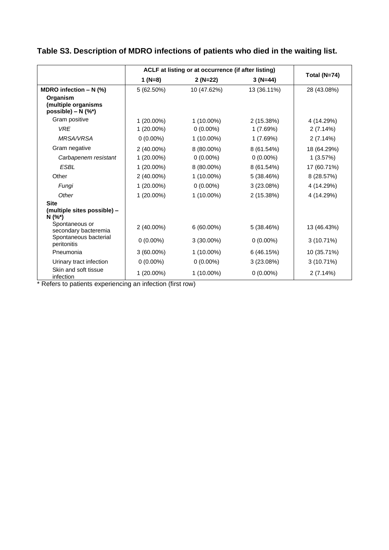|                                                         |              | ACLF at listing or at occurrence (if after listing) |             |              |
|---------------------------------------------------------|--------------|-----------------------------------------------------|-------------|--------------|
|                                                         | $1 (N=8)$    | $2(N=22)$                                           | $3(N=44)$   | Total (N=74) |
| MDRO infection $- N$ (%)                                | 5 (62.50%)   | 10 (47.62%)                                         | 13 (36.11%) | 28 (43.08%)  |
| Organism<br>(multiple organisms<br>possible) – $N$ (%*) |              |                                                     |             |              |
| Gram positive                                           | $1(20.00\%)$ | $1(10.00\%)$                                        | 2 (15.38%)  | 4 (14.29%)   |
| <b>VRE</b>                                              | $1(20.00\%)$ | $0(0.00\%)$                                         | 1(7.69%)    | 2(7.14%)     |
| <b>MRSA/VRSA</b>                                        | $0(0.00\%)$  | $1(10.00\%)$                                        | 1(7.69%)    | 2(7.14%)     |
| Gram negative                                           | 2 (40.00%)   | 8 (80.00%)                                          | 8 (61.54%)  | 18 (64.29%)  |
| Carbapenem resistant                                    | $1(20.00\%)$ | $0(0.00\%)$                                         | $0(0.00\%)$ | 1(3.57%)     |
| <b>ESBL</b>                                             | 1 (20.00%)   | 8 (80.00%)                                          | 8 (61.54%)  | 17 (60.71%)  |
| Other                                                   | 2 (40.00%)   | $1(10.00\%)$                                        | 5 (38.46%)  | 8 (28.57%)   |
| Fungi                                                   | $1(20.00\%)$ | $0(0.00\%)$                                         | 3(23.08%)   | 4 (14.29%)   |
| Other                                                   | $1(20.00\%)$ | $1(10.00\%)$                                        | 2 (15.38%)  | 4 (14.29%)   |
| <b>Site</b>                                             |              |                                                     |             |              |
| (multiple sites possible) -<br>$N(%^*)$                 |              |                                                     |             |              |
| Spontaneous or<br>secondary bacteremia                  | 2 (40.00%)   | 6 (60.00%)                                          | 5 (38.46%)  | 13 (46.43%)  |
| Spontaneous bacterial<br>peritonitis                    | $0(0.00\%)$  | $3(30.00\%)$                                        | $0(0.00\%)$ | 3(10.71%)    |
| Pneumonia                                               | $3(60.00\%)$ | $1(10.00\%)$                                        | 6 (46.15%)  | 10 (35.71%)  |
| Urinary tract infection                                 | $0(0.00\%)$  | $0(0.00\%)$                                         | 3(23.08%)   | 3 (10.71%)   |
| Skin and soft tissue<br>infection                       | $1(20.00\%)$ | 1 (10.00%)                                          | $0(0.00\%)$ | 2(7.14%)     |

# **Table S3. Description of MDRO infections of patients who died in the waiting list.**

\* Refers to patients experiencing an infection (first row)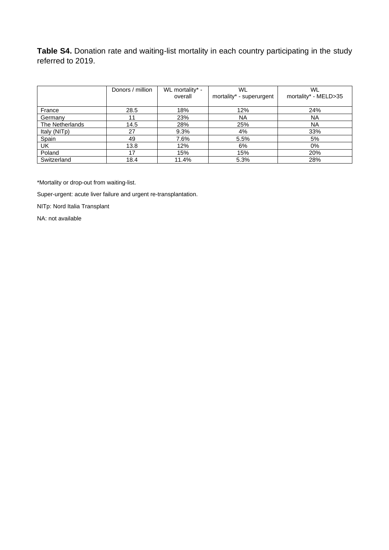**Table S4.** Donation rate and waiting-list mortality in each country participating in the study referred to 2019.

|                 | Donors / million | WL mortality* - | WL                       | WL                   |
|-----------------|------------------|-----------------|--------------------------|----------------------|
|                 |                  | overall         | mortality* - superurgent | mortality* - MELD>35 |
|                 |                  |                 |                          |                      |
| France          | 28.5             | 18%             | 12%                      | 24%                  |
| Germany         | 11               | 23%             | <b>NA</b>                | NA                   |
| The Netherlands | 14.5             | 28%             | 25%                      | NA                   |
| Italy (NITp)    | 27               | 9.3%            | 4%                       | 33%                  |
| Spain           | 49               | 7.6%            | 5.5%                     | 5%                   |
| UK              | 13.8             | 12%             | 6%                       | $0\%$                |
| Poland          | 17               | 15%             | 15%                      | 20%                  |
| Switzerland     | 18.4             | 11.4%           | 5.3%                     | 28%                  |

\*Mortality or drop-out from waiting-list.

Super-urgent: acute liver failure and urgent re-transplantation.

NITp: Nord Italia Transplant

NA: not available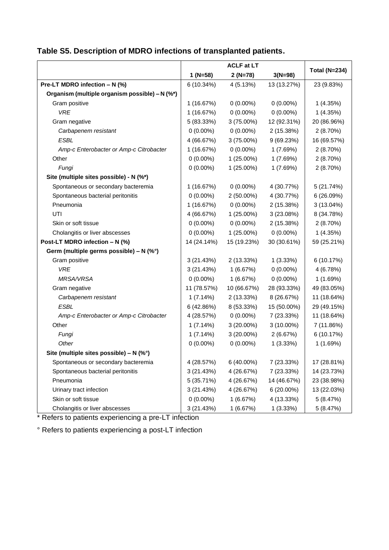|                                                |             | <b>ACLF at LT</b> |             |                      |
|------------------------------------------------|-------------|-------------------|-------------|----------------------|
|                                                | $1 (N=58)$  | $2(N=78)$         | $3(N=98)$   | <b>Total (N=234)</b> |
| Pre-LT MDRO infection - N (%)                  | 6 (10.34%)  | 4 (5.13%)         | 13 (13.27%) | 23 (9.83%)           |
| Organism (multiple organism possible) - N (%*) |             |                   |             |                      |
| Gram positive                                  | 1 (16.67%)  | $0(0.00\%)$       | $0(0.00\%)$ | 1(4.35%)             |
| <b>VRE</b>                                     | 1 (16.67%)  | $0(0.00\%)$       | $0(0.00\%)$ | 1(4.35%)             |
| Gram negative                                  | 5 (83.33%)  | $3(75.00\%)$      | 12 (92.31%) | 20 (86.96%)          |
| Carbapenem resistant                           | $0(0.00\%)$ | $0(0.00\%)$       | 2 (15.38%)  | 2(8.70%)             |
| <b>ESBL</b>                                    | 4 (66.67%)  | $3(75.00\%)$      | 9 (69.23%)  | 16 (69.57%)          |
| Amp-c Enterobacter or Amp-c Citrobacter        | 1 (16.67%)  | $0(0.00\%)$       | 1(7.69%)    | 2 (8.70%)            |
| Other                                          | $0(0.00\%)$ | 1 (25.00%)        | 1(7.69%)    | 2(8.70%)             |
| Fungi                                          | $0(0.00\%)$ | 1 (25.00%)        | 1(7.69%)    | 2(8.70%)             |
| Site (multiple sites possible) - N (%*)        |             |                   |             |                      |
| Spontaneous or secondary bacteremia            | 1 (16.67%)  | $0(0.00\%)$       | 4 (30.77%)  | 5 (21.74%)           |
| Spontaneous bacterial peritonitis              | $0(0.00\%)$ | $2(50.00\%)$      | 4 (30.77%)  | 6 (26.09%)           |
| Pneumonia                                      | 1 (16.67%)  | $0(0.00\%)$       | 2 (15.38%)  | $3(13.04\%)$         |
| UTI                                            | 4 (66.67%)  | $1(25.00\%)$      | 3(23.08%)   | 8 (34.78%)           |
| Skin or soft tissue                            | $0(0.00\%)$ | $0(0.00\%)$       | 2 (15.38%)  | 2(8.70%)             |
| Cholangitis or liver abscesses                 | $0(0.00\%)$ | $1(25.00\%)$      | $0(0.00\%)$ | 1(4.35%)             |
| Post-LT MDRO infection - N (%)                 | 14 (24.14%) | 15 (19.23%)       | 30 (30.61%) | 59 (25.21%)          |
| Germ (multiple germs possible) - N (%°)        |             |                   |             |                      |
| Gram positive                                  | 3(21.43%)   | 2 (13.33%)        | 1(3.33%)    | 6 (10.17%)           |
| <b>VRE</b>                                     | 3(21.43%)   | 1(6.67%)          | $0(0.00\%)$ | 4 (6.78%)            |
| <b>MRSA/VRSA</b>                               | $0(0.00\%)$ | 1(6.67%)          | $0(0.00\%)$ | 1 (1.69%)            |
| Gram negative                                  | 11 (78.57%) | 10 (66.67%)       | 28 (93.33%) | 49 (83.05%)          |
| Carbapenem resistant                           | 1(7.14%)    | 2 (13.33%)        | 8 (26.67%)  | 11 (18.64%)          |
| <b>ESBL</b>                                    | 6(42.86%)   | 8 (53.33%)        | 15 (50.00%) | 29 (49.15%)          |
| Amp-c Enterobacter or Amp-c Citrobacter        | 4 (28.57%)  | $0(0.00\%)$       | 7 (23.33%)  | 11 (18.64%)          |
| Other                                          | 1(7.14%)    | $3(20.00\%)$      | 3 (10.00%)  | 7 (11.86%)           |
| Fungi                                          | 1(7.14%)    | $3(20.00\%)$      | 2(6.67%)    | 6 (10.17%)           |
| Other                                          | $0(0.00\%)$ | $0(0.00\%)$       | 1(3.33%)    | 1(1.69%)             |
| Site (multiple sites possible) – N (%°)        |             |                   |             |                      |
| Spontaneous or secondary bacteremia            | 4 (28.57%)  | 6 (40.00%)        | 7 (23.33%)  | 17 (28.81%)          |
| Spontaneous bacterial peritonitis              | 3(21.43%)   | 4 (26.67%)        | 7 (23.33%)  | 14 (23.73%)          |
| Pneumonia                                      | 5 (35.71%)  | 4 (26.67%)        | 14 (46.67%) | 23 (38.98%)          |
| Urinary tract infection                        | 3(21.43%)   | 4 (26.67%)        | 6 (20.00%)  | 13 (22.03%)          |
| Skin or soft tissue                            | $0(0.00\%)$ | 1(6.67%)          | 4 (13.33%)  | 5(8.47%)             |
| Cholangitis or liver abscesses                 | 3(21.43%)   | 1(6.67%)          | 1(3.33%)    | 5(8.47%)             |

# **Table S5. Description of MDRO infections of transplanted patients.**

\* Refers to patients experiencing a pre-LT infection

° Refers to patients experiencing a post-LT infection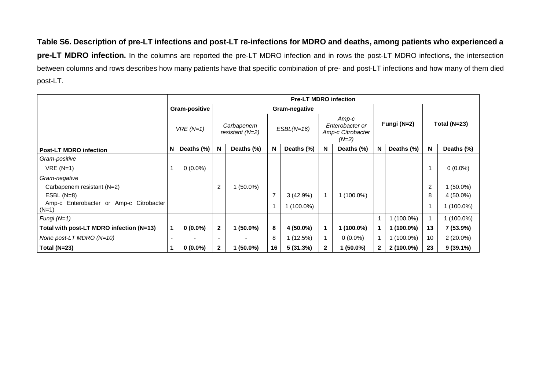**Table S6. Description of pre-LT infections and post-LT re-infections for MDRO and deaths, among patients who experienced a pre-LT MDRO infection.** In the columns are reported the pre-LT MDRO infection and in rows the post-LT MDRO infections, the intersection between columns and rows describes how many patients have that specific combination of pre- and post-LT infections and how many of them died post-LT.

|                                                    |        | <b>Pre-LT MDRO infection</b> |                          |                               |    |               |              |                                                          |              |              |                |                |
|----------------------------------------------------|--------|------------------------------|--------------------------|-------------------------------|----|---------------|--------------|----------------------------------------------------------|--------------|--------------|----------------|----------------|
|                                                    |        | Gram-positive                |                          |                               |    | Gram-negative |              |                                                          |              |              |                |                |
|                                                    |        | $VRE(N=1)$                   |                          | Carbapenem<br>resistant (N=2) |    | $ESBL(N=16)$  |              | Amp-c<br>Enterobacter or<br>Amp-c Citrobacter<br>$(N=2)$ |              | Fungi (N=2)  |                | Total $(N=23)$ |
| <b>Post-LT MDRO infection</b>                      | N      | Deaths (%)                   | N                        | Deaths (%)                    | N  | Deaths (%)    | N            | Deaths (%)                                               | N            | Deaths (%)   | N              | Deaths (%)     |
| Gram-positive                                      |        |                              |                          |                               |    |               |              |                                                          |              |              |                |                |
| $VRE(N=1)$                                         |        | $0(0.0\%)$                   |                          |                               |    |               |              |                                                          |              |              | 1              | $0(0.0\%)$     |
| Gram-negative                                      |        |                              |                          |                               |    |               |              |                                                          |              |              |                |                |
| Carbapenem resistant (N=2)                         |        |                              | $\overline{2}$           | $1(50.0\%)$                   |    |               |              |                                                          |              |              | $\overline{c}$ | $(50.0\%)$     |
| $ESBL(N=8)$                                        |        |                              |                          |                               | 7  | $3(42.9\%)$   |              | $1(100.0\%)$                                             |              |              | 8              | 4 (50.0%)      |
| Amp-c Enterobacter or Amp-c Citrobacter<br>$(N=1)$ |        |                              |                          |                               | 1  | $1(100.0\%)$  |              |                                                          |              |              | 1              | $1(100.0\%)$   |
| Fungi $(N=1)$                                      |        |                              |                          |                               |    |               |              |                                                          |              | $(100.0\%)$  | 1              | $1(100.0\%)$   |
| Total with post-LT MDRO infection (N=13)           |        | $0(0.0\%)$                   | $\mathbf{2}$             | $1(50.0\%)$                   | 8  | 4 (50.0%)     |              | 1 (100.0%)                                               |              | $(100.0\%)$  | 13             | 7 (53.9%)      |
| None post-LT MDRO $(N=10)$                         | $\sim$ |                              | $\overline{\phantom{0}}$ |                               | 8  | 1(12.5%)      |              | $0(0.0\%)$                                               |              | $(100.0\%)$  | 10             | $2(20.0\%)$    |
| Total ( $N=23$ )                                   | 1      | $0(0.0\%)$                   | $\overline{2}$           | $1(50.0\%)$                   | 16 | 5(31.3%)      | $\mathbf{2}$ | $1(50.0\%)$                                              | $\mathbf{2}$ | $2(100.0\%)$ | 23             | $9(39.1\%)$    |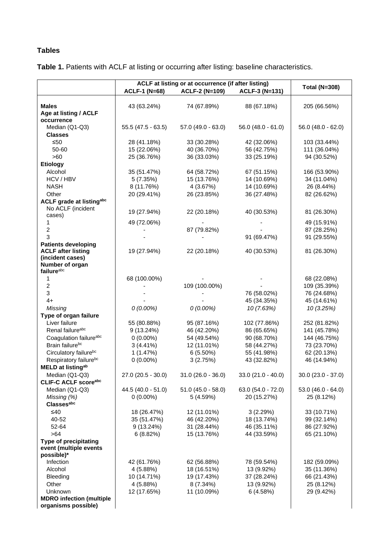## **Tables**

**Table 1.** Patients with ACLF at listing or occurring after listing: baseline characteristics.

|                                                        |                      | ACLF at listing or at occurrence (if after listing) |                       |                      |
|--------------------------------------------------------|----------------------|-----------------------------------------------------|-----------------------|----------------------|
|                                                        | <b>ACLF-1 (N=68)</b> | <b>ACLF-2 (N=109)</b>                               | <b>ACLF-3 (N=131)</b> | <b>Total (N=308)</b> |
|                                                        |                      |                                                     |                       |                      |
| <b>Males</b>                                           | 43 (63.24%)          | 74 (67.89%)                                         | 88 (67.18%)           | 205 (66.56%)         |
| Age at listing / ACLF                                  |                      |                                                     |                       |                      |
| occurrence                                             |                      |                                                     |                       |                      |
| Median (Q1-Q3)                                         | $55.5(47.5 - 63.5)$  | 57.0 (49.0 - 63.0)                                  | $56.0$ (48.0 - 61.0)  | $56.0$ (48.0 - 62.0) |
| <b>Classes</b>                                         |                      |                                                     |                       |                      |
| $≤50$                                                  | 28 (41.18%)          | 33 (30.28%)                                         | 42 (32.06%)           | 103 (33.44%)         |
| 50-60                                                  | 15 (22.06%)          | 40 (36.70%)                                         | 56 (42.75%)           | 111 (36.04%)         |
| >60                                                    | 25 (36.76%)          | 36 (33.03%)                                         | 33 (25.19%)           | 94 (30.52%)          |
| <b>Etiology</b>                                        |                      |                                                     |                       |                      |
| Alcohol                                                | 35 (51.47%)          | 64 (58.72%)                                         | 67 (51.15%)           | 166 (53.90%)         |
| HCV / HBV                                              | 5(7.35%)             | 15 (13.76%)                                         | 14 (10.69%)           | 34 (11.04%)          |
| <b>NASH</b>                                            | 8 (11.76%)           | 4 (3.67%)                                           | 14 (10.69%)           | 26 (8.44%)           |
| Other                                                  | 20 (29.41%)          | 26 (23.85%)                                         | 36 (27.48%)           | 82 (26.62%)          |
| <b>ACLF grade at listingabc</b>                        |                      |                                                     |                       |                      |
| No ACLF (incident                                      | 19 (27.94%)          | 22 (20.18%)                                         | 40 (30.53%)           | 81 (26.30%)          |
| cases)                                                 |                      |                                                     |                       |                      |
| 1                                                      | 49 (72.06%)          |                                                     |                       | 49 (15.91%)          |
| $\overline{2}$                                         |                      | 87 (79.82%)                                         |                       | 87 (28.25%)          |
| 3                                                      |                      |                                                     | 91 (69.47%)           | 91 (29.55%)          |
| <b>Patients developing</b>                             |                      |                                                     |                       |                      |
| <b>ACLF</b> after listing                              | 19 (27.94%)          | 22 (20.18%)                                         | 40 (30.53%)           | 81 (26.30%)          |
| (incident cases)                                       |                      |                                                     |                       |                      |
| Number of organ<br>failureabc                          |                      |                                                     |                       |                      |
| 1                                                      | 68 (100.00%)         |                                                     |                       |                      |
| $\overline{c}$                                         |                      | 109 (100.00%)                                       |                       | 68 (22.08%)          |
| 3                                                      |                      |                                                     |                       | 109 (35.39%)         |
|                                                        |                      |                                                     | 76 (58.02%)           | 76 (24.68%)          |
| $4+$                                                   |                      |                                                     | 45 (34.35%)           | 45 (14.61%)          |
| Missing                                                | $0(0.00\%)$          | $0(0.00\%)$                                         | 10 (7.63%)            | 10 (3.25%)           |
| Type of organ failure                                  |                      |                                                     |                       |                      |
| Liver failure                                          | 55 (80.88%)          | 95 (87.16%)                                         | 102 (77.86%)          | 252 (81.82%)         |
| Renal failure <sup>abc</sup>                           | 9(13.24%)            | 46 (42.20%)                                         | 86 (65.65%)           | 141 (45.78%)         |
| Coagulation failureabc<br>Brain failurebc              | $0(0.00\%)$          | 54 (49.54%)                                         | 90 (68.70%)           | 144 (46.75%)         |
|                                                        | $3(4.41\%)$          | 12 (11.01%)                                         | 58 (44.27%)           | 73 (23.70%)          |
| Circulatory failurebc                                  | 1(1.47%)             | 6(5.50%)                                            | 55 (41.98%)           | 62 (20.13%)          |
| Respiratory failurebc                                  | $0(0.00\%)$          | 3(2.75%)                                            | 43 (32.82%)           | 46 (14.94%)          |
| <b>MELD at listingab</b>                               |                      |                                                     |                       |                      |
| Median (Q1-Q3)                                         | 27.0 (20.5 - 30.0)   | $31.0 (26.0 - 36.0)$                                | $33.0(21.0 - 40.0)$   | 30.0 (23.0 - 37.0)   |
| <b>CLIF-C ACLF scoreabc</b>                            |                      |                                                     |                       |                      |
| Median (Q1-Q3)                                         | 44.5 (40.0 - 51.0)   | $51.0 (45.0 - 58.0)$                                | 63.0 (54.0 - 72.0)    | $53.0(46.0 - 64.0)$  |
| Missing (%)                                            | $0(0.00\%)$          | 5 (4.59%)                                           | 20 (15.27%)           | 25 (8.12%)           |
| <b>Classesabc</b>                                      |                      |                                                     |                       |                      |
| ≤40                                                    | 18 (26.47%)          | 12 (11.01%)                                         | 3(2.29%)              | 33 (10.71%)          |
| 40-52                                                  | 35 (51.47%)          | 46 (42.20%)                                         | 18 (13.74%)           | 99 (32.14%)          |
| 52-64                                                  | 9(13.24%)            | 31 (28.44%)                                         | 46 (35.11%)           | 86 (27.92%)          |
| >64                                                    | 6(8.82%)             | 15 (13.76%)                                         | 44 (33.59%)           | 65 (21.10%)          |
| <b>Type of precipitating</b><br>event (multiple events |                      |                                                     |                       |                      |
| possible)*                                             |                      |                                                     |                       |                      |
| Infection                                              | 42 (61.76%)          | 62 (56.88%)                                         | 78 (59.54%)           | 182 (59.09%)         |
| Alcohol                                                | 4 (5.88%)            | 18 (16.51%)                                         | 13 (9.92%)            | 35 (11.36%)          |
| Bleeding                                               | 10 (14.71%)          | 19 (17.43%)                                         | 37 (28.24%)           | 66 (21.43%)          |
| Other                                                  | 4 (5.88%)            | $8(7.34\%)$                                         | 13 (9.92%)            | 25 (8.12%)           |
| Unknown                                                | 12 (17.65%)          | 11 (10.09%)                                         | 6(4.58%)              | 29 (9.42%)           |
| <b>MDRO</b> infection (multiple                        |                      |                                                     |                       |                      |
| organisms possible)                                    |                      |                                                     |                       |                      |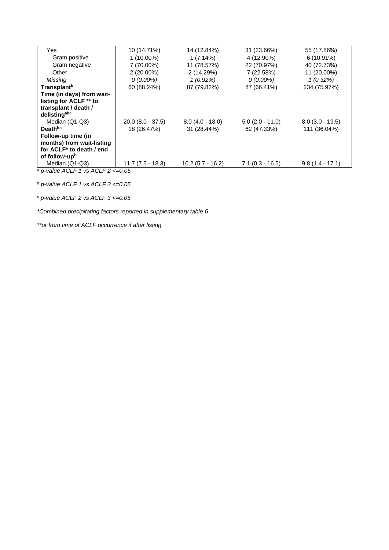| Yes                                                                                          | 10 (14.71%)         | 14 (12.84%)        | 31 (23.66%)        | 55 (17.86%)       |
|----------------------------------------------------------------------------------------------|---------------------|--------------------|--------------------|-------------------|
| Gram positive                                                                                | $1(10.00\%)$        | $1(7.14\%)$        | 4 (12.90%)         | $6(10.91\%)$      |
| Gram negative                                                                                | 7 (70.00%)          | 11 (78.57%)        | 22 (70.97%)        | 40 (72.73%)       |
| Other                                                                                        | $2(20.00\%)$        | 2 (14.29%)         | 7 (22.58%)         | 11 (20.00%)       |
| Missing                                                                                      | $0(0.00\%)$         | $1(0.92\%)$        | $0(0.00\%)$        | $1(0.32\%)$       |
| <b>Transplant</b> <sup>b</sup>                                                               | 60 (88.24%)         | 87 (79.82%)        | 87 (66.41%)        | 234 (75.97%)      |
| Time (in days) from wait-<br>listing for ACLF ** to<br>transplant / death /<br>delistingabc  |                     |                    |                    |                   |
| Median (Q1-Q3)                                                                               | $20.0 (8.0 - 37.5)$ | $8.0(4.0 - 18.0)$  | $5.0$ (2.0 - 11.0) | $8.0(3.0 - 19.5)$ |
| Death <sup>bc</sup>                                                                          | 18 (26.47%)         | 31 (28.44%)        | 62 (47.33%)        | 111 (36.04%)      |
| Follow-up time (in<br>months) from wait-listing<br>for ACLF* to death / end<br>of follow-upb |                     |                    |                    |                   |
| Median (Q1-Q3)                                                                               | $11.7(7.5 - 18.3)$  | $10.2(5.7 - 16.2)$ | $7.1(0.3 - 16.5)$  | $9.8(1.4 - 17.1)$ |
| $a$ p-value ACLF 1 vs ACLF 2 <= 0.05                                                         |                     |                    |                    |                   |

*<sup>b</sup> p-value ACLF 1 vs ACLF 3 <=0.05*

*<sup>c</sup> p-value ACLF 2 vs ACLF 3 <=0.05*

*\*Combined precipitating factors reported in supplementary table 6*

*\*\*or from time of ACLF occurrence if after listing*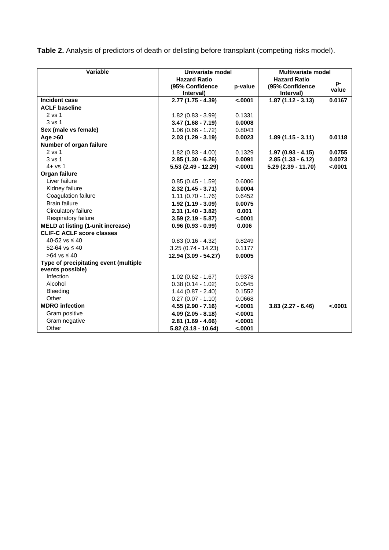**Table 2.** Analysis of predictors of death or delisting before transplant (competing risks model).

| Variable                                 | Univariate model     |          | <b>Multivariate model</b> |          |  |
|------------------------------------------|----------------------|----------|---------------------------|----------|--|
|                                          | <b>Hazard Ratio</b>  |          | <b>Hazard Ratio</b>       |          |  |
|                                          | (95% Confidence      | p-value  | (95% Confidence           | p-       |  |
|                                          | Interval)            |          | Interval)                 | value    |  |
| Incident case                            | $2.77(1.75 - 4.39)$  | $-.0001$ | $1.87(1.12 - 3.13)$       | 0.0167   |  |
| <b>ACLF baseline</b>                     |                      |          |                           |          |  |
| 2 vs 1                                   | $1.82(0.83 - 3.99)$  | 0.1331   |                           |          |  |
| 3 vs 1                                   | $3.47(1.68 - 7.19)$  | 0.0008   |                           |          |  |
| Sex (male vs female)                     | $1.06(0.66 - 1.72)$  | 0.8043   |                           |          |  |
| Age $>60$                                | $2.03(1.29 - 3.19)$  | 0.0023   | $1.89(1.15 - 3.11)$       | 0.0118   |  |
| Number of organ failure                  |                      |          |                           |          |  |
| 2 vs 1                                   | $1.82(0.83 - 4.00)$  | 0.1329   | $1.97(0.93 - 4.15)$       | 0.0755   |  |
| 3 <sub>vs</sub> 1                        | $2.85(1.30 - 6.26)$  | 0.0091   | $2.85(1.33 - 6.12)$       | 0.0073   |  |
| $4 + vs 1$                               | 5.53 (2.49 - 12.29)  | $-.0001$ | 5.29 (2.39 - 11.70)       | $-.0001$ |  |
| Organ failure                            |                      |          |                           |          |  |
| Liver failure                            | $0.85(0.45 - 1.59)$  | 0.6006   |                           |          |  |
| Kidney failure                           | $2.32(1.45 - 3.71)$  | 0.0004   |                           |          |  |
| Coagulation failure                      | $1.11(0.70 - 1.76)$  | 0.6452   |                           |          |  |
| <b>Brain failure</b>                     | $1.92(1.19 - 3.09)$  | 0.0075   |                           |          |  |
| Circulatory failure                      | $2.31(1.40 - 3.82)$  | 0.001    |                           |          |  |
| Respiratory failure                      | $3.59(2.19 - 5.87)$  | $-.0001$ |                           |          |  |
| <b>MELD at listing (1-unit increase)</b> | $0.96(0.93 - 0.99)$  | 0.006    |                           |          |  |
| <b>CLIF-C ACLF score classes</b>         |                      |          |                           |          |  |
| 40-52 vs $\leq 40$                       | $0.83(0.16 - 4.32)$  | 0.8249   |                           |          |  |
| $52 - 64$ vs $\leq 40$                   | $3.25(0.74 - 14.23)$ | 0.1177   |                           |          |  |
| >64 vs ≤ 40                              | 12.94 (3.09 - 54.27) | 0.0005   |                           |          |  |
| Type of precipitating event (multiple    |                      |          |                           |          |  |
| events possible)                         |                      |          |                           |          |  |
| Infection                                | $1.02(0.62 - 1.67)$  | 0.9378   |                           |          |  |
| Alcohol                                  | $0.38(0.14 - 1.02)$  | 0.0545   |                           |          |  |
| <b>Bleeding</b>                          | $1.44(0.87 - 2.40)$  | 0.1552   |                           |          |  |
| Other                                    | $0.27(0.07 - 1.10)$  | 0.0668   |                           |          |  |
| <b>MDRO</b> infection                    | $4.55(2.90 - 7.16)$  | < .0001  | $3.83(2.27 - 6.46)$       | < .0001  |  |
| Gram positive                            | $4.09(2.05 - 8.18)$  | $-.0001$ |                           |          |  |
| Gram negative                            | $2.81(1.69 - 4.66)$  | $-.0001$ |                           |          |  |
| Other                                    | 5.82 (3.18 - 10.64)  | < .0001  |                           |          |  |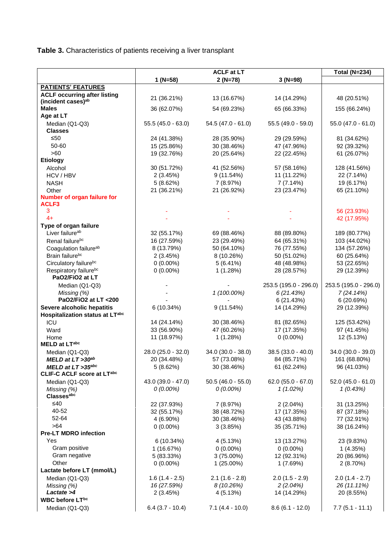**Table 3.** Characteristics of patients receiving a liver transplant

|                                     |                                 | <b>ACLF at LT</b>    |                       | <b>Total (N=234)</b>            |
|-------------------------------------|---------------------------------|----------------------|-----------------------|---------------------------------|
|                                     | $1 (N=58)$                      | $2(N=78)$            | $3 (N=98)$            |                                 |
| <b>PATIENTS' FEATURES</b>           |                                 |                      |                       |                                 |
| <b>ACLF occurring after listing</b> |                                 |                      |                       |                                 |
| (incident cases) <sup>ab</sup>      | 21 (36.21%)                     | 13 (16.67%)          | 14 (14.29%)           | 48 (20.51%)                     |
| <b>Males</b>                        | 36 (62.07%)                     | 54 (69.23%)          | 65 (66.33%)           | 155 (66.24%)                    |
| Age at LT                           |                                 |                      |                       |                                 |
| Median (Q1-Q3)                      | $55.5(45.0 - 63.0)$             | $54.5(47.0 - 61.0)$  | 55.5 (49.0 - 59.0)    | $55.0$ (47.0 - 61.0)            |
| <b>Classes</b>                      |                                 |                      |                       |                                 |
| ≤50                                 | 24 (41.38%)                     | 28 (35.90%)          | 29 (29.59%)           | 81 (34.62%)                     |
| 50-60                               | 15 (25.86%)                     | 30 (38.46%)          | 47 (47.96%)           | 92 (39.32%)                     |
| >60                                 | 19 (32.76%)                     | 20 (25.64%)          | 22 (22.45%)           | 61 (26.07%)                     |
| <b>Etiology</b>                     |                                 |                      |                       |                                 |
| Alcohol                             | 30 (51.72%)                     | 41 (52.56%)          | 57 (58.16%)           | 128 (41.56%)                    |
| HCV / HBV                           | 2(3.45%)                        | 9(11.54%)            | 11 (11.22%)           | 22 (7.14%)                      |
| <b>NASH</b>                         | 5(8.62%)                        | 7 (8.97%)            | 7(7.14%)              | 19 (6.17%)                      |
| Other                               | 21 (36.21%)                     | 21 (26.92%)          | 23 (23.47%)           | 65 (21.10%)                     |
| Number of organ failure for         |                                 |                      |                       |                                 |
| ACLF3<br>3                          |                                 |                      |                       | 56 (23.93%)                     |
| $4+$                                |                                 |                      |                       | 42 (17.95%)                     |
| Type of organ failure               |                                 |                      |                       |                                 |
| Liver failure <sup>ab</sup>         | 32 (55.17%)                     | 69 (88.46%)          | 88 (89.80%)           | 189 (80.77%)                    |
| Renal failurebc                     | 16 (27.59%)                     | 23 (29.49%)          | 64 (65.31%)           | 103 (44.02%)                    |
| Coagulation failure <sup>ab</sup>   | 8 (13.79%)                      | 50 (64.10%)          | 76 (77.55%)           | 134 (57.26%)                    |
| Brain failurebc                     | 2(3.45%)                        | 8 (10.26%)           | 50 (51.02%)           | 60 (25.64%)                     |
| Circulatory failurebc               | $0(0.00\%)$                     | 5(6.41%)             | 48 (48.98%)           | 53 (22.65%)                     |
| Respiratory failurebc               | $0(0.00\%)$                     | 1(1.28%)             | 28 (28.57%)           | 29 (12.39%)                     |
| PaO2/FiO2 at LT                     |                                 |                      |                       |                                 |
| Median (Q1-Q3)                      |                                 |                      | 253.5 (195.0 - 296.0) | 253.5 (195.0 - 296.0)           |
| Missing (%)                         |                                 | 1 (100.00%)          | 6(21.43%)             | 7(24.14%)                       |
| PaO2/FiO2 at LT <200                |                                 |                      | 6(21.43%)             | 6 (20.69%)                      |
| Severe alcoholic hepatitis          | 6 (10.34%)                      | 9(11.54%)            | 14 (14.29%)           | 29 (12.39%)                     |
| Hospitalization status at LTabc     |                                 |                      |                       |                                 |
| ICU                                 | 14 (24.14%)                     | 30 (38.46%)          | 81 (82.65%)           | 125 (53.42%)                    |
| Ward                                | 33 (56.90%)                     | 47 (60.26%)          | 17 (17.35%)           | 97 (41.45%)                     |
| Home                                | 11 (18.97%)                     | 1(1.28%)             | $0(0.00\%)$           | 12 (5.13%)                      |
| MELD at LTabc                       |                                 |                      |                       |                                 |
| Median (Q1-Q3)                      | 28.0 (25.0 - 32.0)              | $34.0 (30.0 - 38.0)$ | $38.5(33.0 - 40.0)$   | 34.0 (30.0 - 39.0)              |
| MELD at LT >30ab                    | 20 (34.48%)                     | 57 (73.08%)          | 84 (85.71%)           | 161 (68.80%)                    |
| MELD at $LT > 35^{abc}$             | 5(8.62%)                        | 30 (38.46%)          | 61 (62.24%)           | 96 (41.03%)                     |
| <b>CLIF-C ACLF score at LTabc</b>   |                                 |                      |                       |                                 |
| Median (Q1-Q3)                      | 43.0 (39.0 - 47.0)              | $50.5(46.0 - 55.0)$  | $62.0 (55.0 - 67.0)$  | $52.0(45.0 - 61.0)$             |
| Missing (%)                         | $0(0.00\%)$                     | $0(0.00\%)$          | 1(1.02%)              | 1(0.43%)                        |
| <b>Classesabc</b>                   |                                 |                      |                       |                                 |
| ≤40                                 | 22 (37.93%)                     | 7 (8.97%)            | $2(2.04\%)$           | 31 (13.25%)                     |
| 40-52                               | 32 (55.17%)                     | 38 (48.72%)          | 17 (17.35%)           | 87 (37.18%)                     |
| 52-64                               | 4 (6.90%)                       | 30 (38.46%)          | 43 (43.88%)           | 77 (32.91%)                     |
| $>64$                               | $0(0.00\%)$                     | 3(3.85%)             | 35 (35.71%)           | 38 (16.24%)                     |
| <b>Pre-LT MDRO infection</b>        |                                 |                      |                       |                                 |
| Yes                                 | 6 (10.34%)                      | 4(5.13%)             | 13 (13.27%)           | 23 (9.83%)                      |
| Gram positive                       | 1(16.67%)                       | $0(0.00\%)$          | $0(0.00\%)$           | 1(4.35%)                        |
| Gram negative<br>Other              | 5 (83.33%)                      | $3(75.00\%)$         | 12 (92.31%)           | 20 (86.96%)                     |
| Lactate before LT (mmol/L)          | $0(0.00\%)$                     | $1(25.00\%)$         | 1 (7.69%)             | 2(8.70%)                        |
|                                     |                                 | $2.1(1.6 - 2.8)$     | $2.0(1.5 - 2.9)$      |                                 |
| Median (Q1-Q3)                      | $1.6(1.4 - 2.5)$<br>16 (27.59%) | 8(10.26%)            | 2(2.04%)              | $2.0(1.4 - 2.7)$<br>26 (11.11%) |
| Missing (%)<br>Lactate >4           | 2(3.45%)                        | 4 (5.13%)            | 14 (14.29%)           | 20 (8.55%)                      |
| WBC before LTbc                     |                                 |                      |                       |                                 |
| Median (Q1-Q3)                      | $6.4$ (3.7 - 10.4)              | $7.1(4.4 - 10.0)$    | $8.6(6.1 - 12.0)$     | $7.7(5.1 - 11.1)$               |
|                                     |                                 |                      |                       |                                 |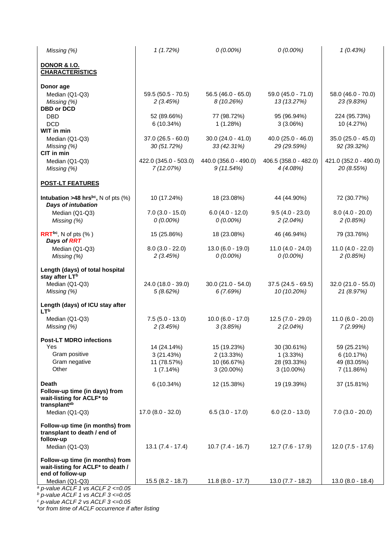| Missing (%)                                                                                | 1(1.72%)                                            | $0(0.00\%)$                                             | $0(0.00\%)$                                            | 1(0.43%)                                              |
|--------------------------------------------------------------------------------------------|-----------------------------------------------------|---------------------------------------------------------|--------------------------------------------------------|-------------------------------------------------------|
| <b>DONOR &amp; I.O.</b><br><b>CHARACTERISTICS</b>                                          |                                                     |                                                         |                                                        |                                                       |
| Donor age<br>Median (Q1-Q3)<br>Missing (%)                                                 | $59.5(50.5 - 70.5)$<br>2(3.45%)                     | $56.5(46.0 - 65.0)$<br>8 (10.26%)                       | $59.0 (45.0 - 71.0)$<br>13 (13.27%)                    | 58.0 (46.0 - 70.0)<br>23 (9.83%)                      |
| <b>DBD or DCD</b><br>DBD<br><b>DCD</b><br>WIT in min                                       | 52 (89.66%)<br>6(10.34%)                            | 77 (98.72%)<br>1(1.28%)                                 | 95 (96.94%)<br>3(3.06%)                                | 224 (95.73%)<br>10 (4.27%)                            |
| Median (Q1-Q3)<br>Missing (%)<br>CIT in min                                                | $37.0(26.5 - 60.0)$<br>30 (51.72%)                  | $30.0 (24.0 - 41.0)$<br>33 (42.31%)                     | $40.0$ (25.0 - 46.0)<br>29 (29.59%)                    | $35.0$ (25.0 - 45.0)<br>92 (39.32%)                   |
| Median (Q1-Q3)<br>Missing (%)                                                              | 422.0 (345.0 - 503.0)<br>7(12.07%)                  | 440.0 (356.0 - 490.0)<br>9(11.54%)                      | 406.5 (358.0 - 482.0)<br>4(4.08%)                      | 421.0 (352.0 - 490.0)<br>20 (8.55%)                   |
| <b>POST-LT FEATURES</b>                                                                    |                                                     |                                                         |                                                        |                                                       |
| <b>Intubation &gt;48 hrs<sup>bc</sup></b> , N of pts $(\%)$<br>Days of intubation          | 10 (17.24%)                                         | 18 (23.08%)                                             | 44 (44.90%)                                            | 72 (30.77%)                                           |
| Median (Q1-Q3)<br>Missing (%)                                                              | $7.0$ (3.0 - 15.0)<br>$0(0.00\%)$                   | $6.0(4.0 - 12.0)$<br>$0(0.00\%)$                        | $9.5(4.0 - 23.0)$<br>2(2.04%)                          | $8.0(4.0 - 20.0)$<br>2(0.85%)                         |
| $RRT^{bc}$ , N of pts $(\% )$<br>Days of RRT                                               | 15 (25.86%)                                         | 18 (23.08%)                                             | 46 (46.94%)                                            | 79 (33.76%)                                           |
| Median (Q1-Q3)<br>Missing (%)                                                              | $8.0(3.0 - 22.0)$<br>2(3.45%)                       | $13.0(6.0 - 19.0)$<br>$0(0.00\%)$                       | $11.0(4.0 - 24.0)$<br>$0(0.00\%)$                      | $11.0(4.0 - 22.0)$<br>2(0.85%)                        |
| Length (days) of total hospital<br>stay after LT <sup>b</sup>                              |                                                     |                                                         |                                                        |                                                       |
| Median (Q1-Q3)<br>Missing (%)                                                              | 24.0 (18.0 - 39.0)<br>5(8.62%)                      | $30.0(21.0 - 54.0)$<br>6(7.69%)                         | $37.5(24.5 - 69.5)$<br>10 (10.20%)                     | 32.0 (21.0 - 55.0)<br>21 (8.97%)                      |
| Length (days) of ICU stay after<br><b>LTb</b>                                              |                                                     |                                                         |                                                        |                                                       |
| Median (Q1-Q3)<br>Missing (%)                                                              | $7.5(5.0 - 13.0)$<br>2(3.45%)                       | $10.0 (6.0 - 17.0)$<br>3(3.85%)                         | $12.5(7.0 - 29.0)$<br>2(2.04%)                         | $11.0 (6.0 - 20.0)$<br>7(2.99%)                       |
| <b>Post-LT MDRO infections</b><br>Yes<br>Gram positive<br>Gram negative<br>Other           | 14 (24.14%)<br>3(21.43%)<br>11 (78.57%)<br>1(7.14%) | 15 (19.23%)<br>2(13.33%)<br>10 (66.67%)<br>$3(20.00\%)$ | 30 (30.61%)<br>1(3.33%)<br>28 (93.33%)<br>$3(10.00\%)$ | 59 (25.21%)<br>6(10.17%)<br>49 (83.05%)<br>7 (11.86%) |
| <b>Death</b><br>Follow-up time (in days) from<br>wait-listing for ACLF* to<br>transplantab | 6(10.34%)                                           | 12 (15.38%)                                             | 19 (19.39%)                                            | 37 (15.81%)                                           |
| Median (Q1-Q3)                                                                             | $17.0 (8.0 - 32.0)$                                 | $6.5(3.0 - 17.0)$                                       | $6.0$ (2.0 - 13.0)                                     | $7.0$ (3.0 - 20.0)                                    |
| Follow-up time (in months) from<br>transplant to death / end of<br>follow-up               |                                                     |                                                         |                                                        |                                                       |
| Median (Q1-Q3)<br>Follow-up time (in months) from<br>wait-listing for ACLF* to death /     | $13.1 (7.4 - 17.4)$                                 | $10.7(7.4 - 16.7)$                                      | $12.7(7.6 - 17.9)$                                     | $12.0(7.5 - 17.6)$                                    |
| end of follow-up<br>Median (Q1-Q3)<br>$a$ p-value ACLF 1 vs ACLF 2 <= 0.05                 | $15.5(8.2 - 18.7)$                                  | $11.8(8.0 - 17.7)$                                      | $13.0 (7.7 - 18.2)$                                    | $13.0 (8.0 - 18.4)$                                   |

*<sup>b</sup> p-value ACLF 1 vs ACLF 3 <=0.05*

*<sup>c</sup> p-value ACLF 2 vs ACLF 3 <=0.05*

*\*or from time of ACLF occurrence if after listing*